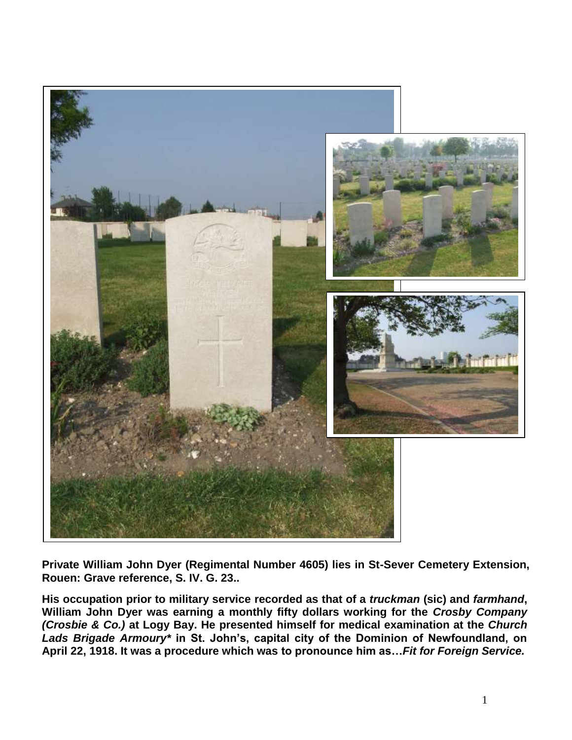

**Private William John Dyer (Regimental Number 4605) lies in St-Sever Cemetery Extension, Rouen: Grave reference, S. IV. G. 23..**

**His occupation prior to military service recorded as that of a** *truckman* **(sic) and** *farmhand***, William John Dyer was earning a monthly fifty dollars working for the** *Crosby Company (Crosbie & Co.)* **at Logy Bay. He presented himself for medical examination at the** *Church Lads Brigade Armoury\** **in St. John's, capital city of the Dominion of Newfoundland, on April 22, 1918. It was a procedure which was to pronounce him as…***Fit for Foreign Service.*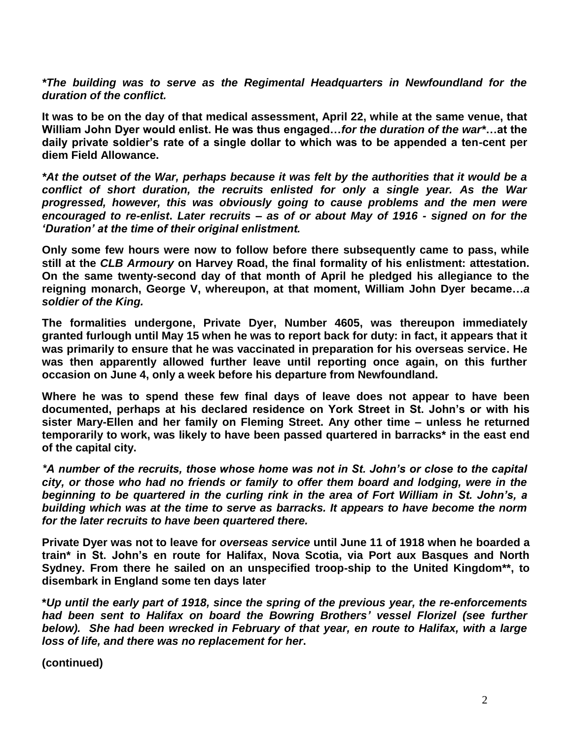*\*The building was to serve as the Regimental Headquarters in Newfoundland for the duration of the conflict.*

**It was to be on the day of that medical assessment, April 22, while at the same venue, that William John Dyer would enlist. He was thus engaged…***for the duration of the war\****…at the daily private soldier's rate of a single dollar to which was to be appended a ten-cent per diem Field Allowance.**

*\*At the outset of the War, perhaps because it was felt by the authorities that it would be a conflict of short duration, the recruits enlisted for only a single year. As the War progressed, however, this was obviously going to cause problems and the men were encouraged to re-enlist***.** *Later recruits – as of or about May of 1916 - signed on for the 'Duration' at the time of their original enlistment.*

**Only some few hours were now to follow before there subsequently came to pass, while still at the** *CLB Armoury* **on Harvey Road, the final formality of his enlistment: attestation. On the same twenty-second day of that month of April he pledged his allegiance to the reigning monarch, George V, whereupon, at that moment, William John Dyer became…***a soldier of the King.*

**The formalities undergone, Private Dyer, Number 4605, was thereupon immediately granted furlough until May 15 when he was to report back for duty: in fact, it appears that it was primarily to ensure that he was vaccinated in preparation for his overseas service. He was then apparently allowed further leave until reporting once again, on this further occasion on June 4, only a week before his departure from Newfoundland.**

**Where he was to spend these few final days of leave does not appear to have been documented, perhaps at his declared residence on York Street in St. John's or with his sister Mary-Ellen and her family on Fleming Street. Any other time – unless he returned temporarily to work, was likely to have been passed quartered in barracks\* in the east end of the capital city.**

*\*A number of the recruits, those whose home was not in St. John's or close to the capital city, or those who had no friends or family to offer them board and lodging, were in the beginning to be quartered in the curling rink in the area of Fort William in St. John's, a building which was at the time to serve as barracks. It appears to have become the norm for the later recruits to have been quartered there.*

**Private Dyer was not to leave for** *overseas service* **until June 11 of 1918 when he boarded a train\* in St. John's en route for Halifax, Nova Scotia, via Port aux Basques and North Sydney. From there he sailed on an unspecified troop-ship to the United Kingdom\*\*, to disembark in England some ten days later**

**\****Up until the early part of 1918, since the spring of the previous year, the re-enforcements had been sent to Halifax on board the Bowring Brothers' vessel Florizel (see further below). She had been wrecked in February of that year, en route to Halifax, with a large loss of life, and there was no replacement for her***.**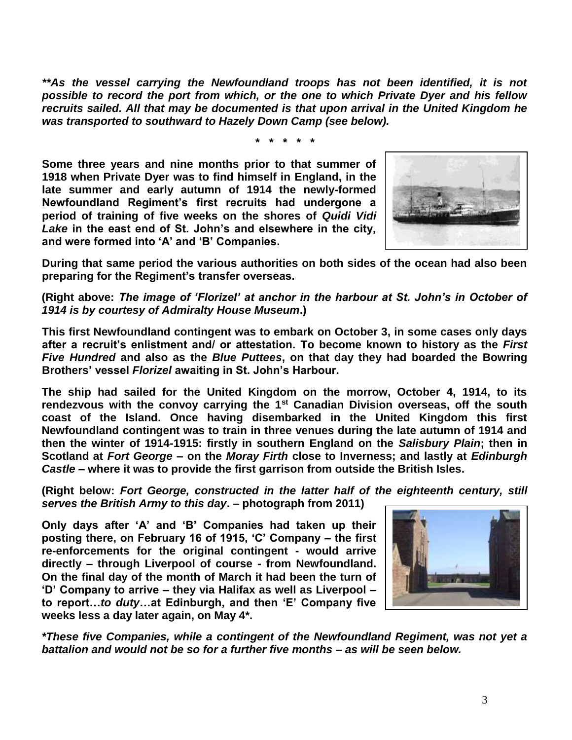*\*\*As the vessel carrying the Newfoundland troops has not been identified, it is not possible to record the port from which, or the one to which Private Dyer and his fellow recruits sailed. All that may be documented is that upon arrival in the United Kingdom he was transported to southward to Hazely Down Camp (see below).* 

*\* \* \* \* \**

**Some three years and nine months prior to that summer of 1918 when Private Dyer was to find himself in England, in the late summer and early autumn of 1914 the newly-formed Newfoundland Regiment's first recruits had undergone a period of training of five weeks on the shores of** *Quidi Vidi Lake* **in the east end of St. John's and elsewhere in the city, and were formed into 'A' and 'B' Companies.**



**During that same period the various authorities on both sides of the ocean had also been preparing for the Regiment's transfer overseas.**

**(Right above:** *The image of 'Florizel' at anchor in the harbour at St. John's in October of 1914 is by courtesy of Admiralty House Museum***.)**

**This first Newfoundland contingent was to embark on October 3, in some cases only days after a recruit's enlistment and/ or attestation. To become known to history as the** *First Five Hundred* **and also as the** *Blue Puttees***, on that day they had boarded the Bowring Brothers' vessel** *Florizel* **awaiting in St. John's Harbour.**

**The ship had sailed for the United Kingdom on the morrow, October 4, 1914, to its rendezvous with the convoy carrying the 1st Canadian Division overseas, off the south coast of the Island. Once having disembarked in the United Kingdom this first Newfoundland contingent was to train in three venues during the late autumn of 1914 and then the winter of 1914-1915: firstly in southern England on the** *Salisbury Plain***; then in Scotland at** *Fort George* **– on the** *Moray Firth* **close to Inverness; and lastly at** *Edinburgh Castle* **– where it was to provide the first garrison from outside the British Isles.** 

**(Right below:** *Fort George, constructed in the latter half of the eighteenth century, still serves the British Army to this day***. – photograph from 2011)**

**Only days after 'A' and 'B' Companies had taken up their posting there, on February 16 of 1915, 'C' Company – the first re-enforcements for the original contingent - would arrive directly – through Liverpool of course - from Newfoundland. On the final day of the month of March it had been the turn of 'D' Company to arrive – they via Halifax as well as Liverpool – to report…***to duty***…at Edinburgh, and then 'E' Company five weeks less a day later again, on May 4\*.**



*\*These five Companies, while a contingent of the Newfoundland Regiment, was not yet a battalion and would not be so for a further five months – as will be seen below.*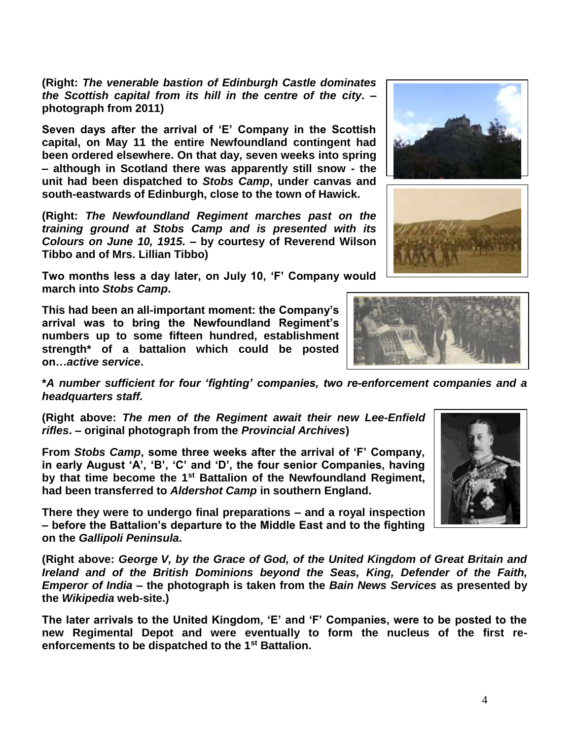**(Right:** *The venerable bastion of Edinburgh Castle dominates the Scottish capital from its hill in the centre of the city***. – photograph from 2011)**

**Seven days after the arrival of 'E' Company in the Scottish capital, on May 11 the entire Newfoundland contingent had been ordered elsewhere. On that day, seven weeks into spring – although in Scotland there was apparently still snow - the unit had been dispatched to** *Stobs Camp***, under canvas and south-eastwards of Edinburgh, close to the town of Hawick.**

**(Right:** *The Newfoundland Regiment marches past on the training ground at Stobs Camp and is presented with its Colours on June 10, 1915.* **– by courtesy of Reverend Wilson Tibbo and of Mrs. Lillian Tibbo)**

**Two months less a day later, on July 10, 'F' Company would march into** *Stobs Camp***.** 

**This had been an all-important moment: the Company's arrival was to bring the Newfoundland Regiment's numbers up to some fifteen hundred, establishment strength\* of a battalion which could be posted on…***active service***.**

**\****A number sufficient for four 'fighting' companies, two re-enforcement companies and a headquarters staff.*

**(Right above:** *The men of the Regiment await their new Lee-Enfield rifles***. – original photograph from the** *Provincial Archives***)**

**From** *Stobs Camp***, some three weeks after the arrival of 'F' Company, in early August 'A', 'B', 'C' and 'D', the four senior Companies, having by that time become the 1st Battalion of the Newfoundland Regiment, had been transferred to** *Aldershot Camp* **in southern England.** 

**There they were to undergo final preparations – and a royal inspection – before the Battalion's departure to the Middle East and to the fighting on the** *Gallipoli Peninsula***.**

**(Right above:** *George V, by the Grace of God, of the United Kingdom of Great Britain and Ireland and of the British Dominions beyond the Seas, King, Defender of the Faith, Emperor of India* **– the photograph is taken from the** *Bain News Services* **as presented by the** *Wikipedia* **web-site.)**

**The later arrivals to the United Kingdom, 'E' and 'F' Companies, were to be posted to the new Regimental Depot and were eventually to form the nucleus of the first reenforcements to be dispatched to the 1st Battalion.** 







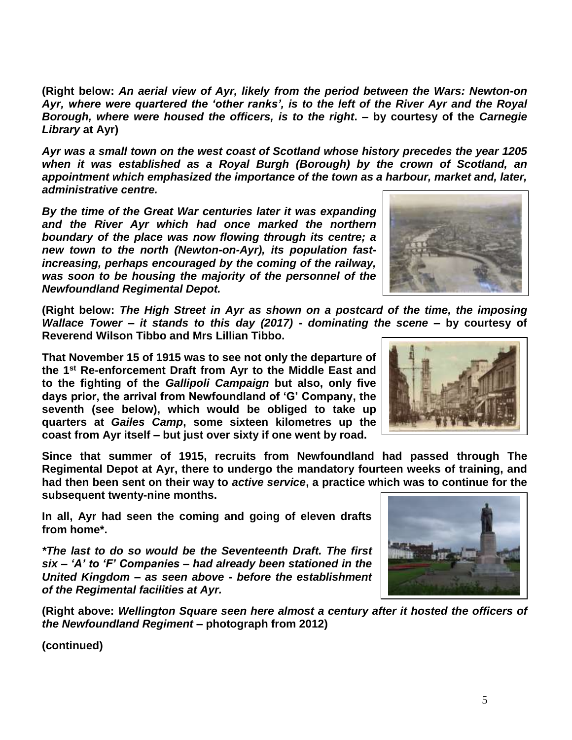**(Right below:** *An aerial view of Ayr, likely from the period between the Wars: Newton-on Ayr, where were quartered the 'other ranks', is to the left of the River Ayr and the Royal Borough, where were housed the officers, is to the right***. – by courtesy of the** *Carnegie Library* **at Ayr)**

*Ayr was a small town on the west coast of Scotland whose history precedes the year 1205 when it was established as a Royal Burgh (Borough) by the crown of Scotland, an appointment which emphasized the importance of the town as a harbour, market and, later, administrative centre.* 

*By the time of the Great War centuries later it was expanding and the River Ayr which had once marked the northern boundary of the place was now flowing through its centre; a new town to the north (Newton-on-Ayr), its population fastincreasing, perhaps encouraged by the coming of the railway, was soon to be housing the majority of the personnel of the Newfoundland Regimental Depot.* 

**(Right below:** *The High Street in Ayr as shown on a postcard of the time, the imposing Wallace Tower – it stands to this day (2017) - dominating the scene* **– by courtesy of Reverend Wilson Tibbo and Mrs Lillian Tibbo.**

**That November 15 of 1915 was to see not only the departure of the 1st Re-enforcement Draft from Ayr to the Middle East and to the fighting of the** *Gallipoli Campaign* **but also, only five days prior, the arrival from Newfoundland of 'G' Company, the seventh (see below), which would be obliged to take up quarters at** *Gailes Camp***, some sixteen kilometres up the coast from Ayr itself – but just over sixty if one went by road.**

**Since that summer of 1915, recruits from Newfoundland had passed through The Regimental Depot at Ayr, there to undergo the mandatory fourteen weeks of training, and had then been sent on their way to** *active service***, a practice which was to continue for the subsequent twenty-nine months.** 

**In all, Ayr had seen the coming and going of eleven drafts from home\*.**

*\*The last to do so would be the Seventeenth Draft. The first six – 'A' to 'F' Companies – had already been stationed in the United Kingdom – as seen above - before the establishment of the Regimental facilities at Ayr.*

**(Right above:** *Wellington Square seen here almost a century after it hosted the officers of the Newfoundland Regiment* **– photograph from 2012)**





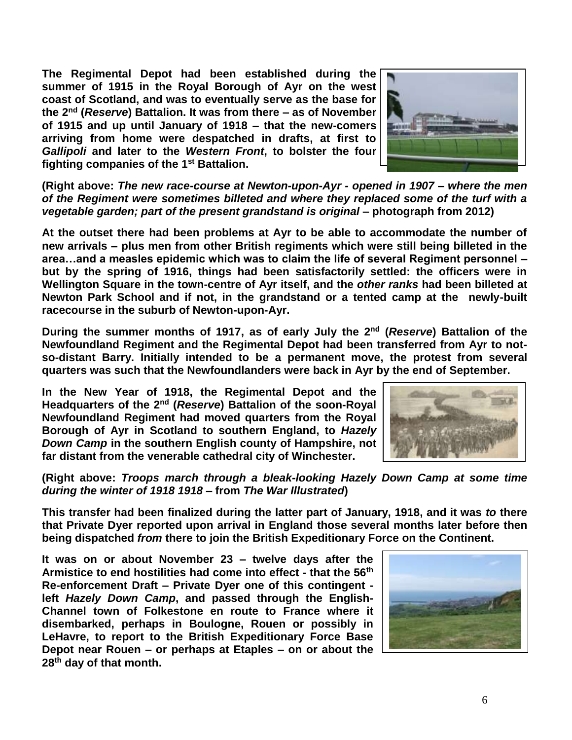**The Regimental Depot had been established during the summer of 1915 in the Royal Borough of Ayr on the west coast of Scotland, and was to eventually serve as the base for the 2nd (***Reserve***) Battalion. It was from there – as of November of 1915 and up until January of 1918 – that the new-comers arriving from home were despatched in drafts, at first to**  *Gallipoli* **and later to the** *Western Front***, to bolster the four fighting companies of the 1st Battalion.** 



**(Right above:** *The new race-course at Newton-upon-Ayr - opened in 1907 – where the men of the Regiment were sometimes billeted and where they replaced some of the turf with a vegetable garden; part of the present grandstand is original* **– photograph from 2012)**

**At the outset there had been problems at Ayr to be able to accommodate the number of new arrivals – plus men from other British regiments which were still being billeted in the area…and a measles epidemic which was to claim the life of several Regiment personnel – but by the spring of 1916, things had been satisfactorily settled: the officers were in Wellington Square in the town-centre of Ayr itself, and the** *other ranks* **had been billeted at Newton Park School and if not, in the grandstand or a tented camp at the newly-built racecourse in the suburb of Newton-upon-Ayr.** 

**During the summer months of 1917, as of early July the 2nd (***Reserve***) Battalion of the Newfoundland Regiment and the Regimental Depot had been transferred from Ayr to notso-distant Barry. Initially intended to be a permanent move, the protest from several quarters was such that the Newfoundlanders were back in Ayr by the end of September.**

**In the New Year of 1918, the Regimental Depot and the**  Headquarters of the 2<sup>nd</sup> (Reserve) Battalion of the soon-Royal **Newfoundland Regiment had moved quarters from the Royal Borough of Ayr in Scotland to southern England, to** *Hazely Down Camp* **in the southern English county of Hampshire, not far distant from the venerable cathedral city of Winchester.** 



## **(Right above:** *Troops march through a bleak-looking Hazely Down Camp at some time during the winter of 1918 1918* **– from** *The War Illustrated***)**

**This transfer had been finalized during the latter part of January, 1918, and it was** *to* **there that Private Dyer reported upon arrival in England those several months later before then being dispatched** *from* **there to join the British Expeditionary Force on the Continent.**

**It was on or about November 23 – twelve days after the Armistice to end hostilities had come into effect - that the 56th Re-enforcement Draft – Private Dyer one of this contingent left** *Hazely Down Camp***, and passed through the English-Channel town of Folkestone en route to France where it disembarked, perhaps in Boulogne, Rouen or possibly in LeHavre, to report to the British Expeditionary Force Base Depot near Rouen – or perhaps at Etaples – on or about the 28th day of that month.**

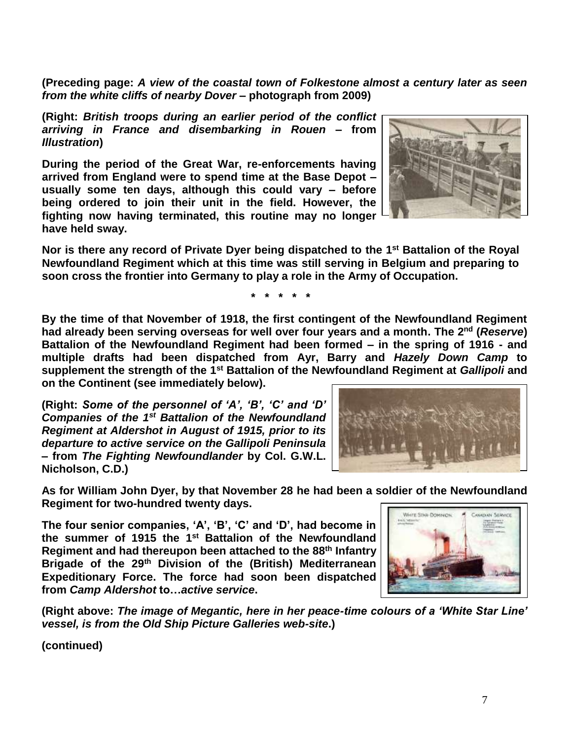**(Preceding page:** *A view of the coastal town of Folkestone almost a century later as seen from the white cliffs of nearby Dover* **– photograph from 2009)**

**(Right:** *British troops during an earlier period of the conflict arriving in France and disembarking in Rouen* **– from**  *Illustration***)**

**During the period of the Great War, re-enforcements having arrived from England were to spend time at the Base Depot – usually some ten days, although this could vary – before being ordered to join their unit in the field. However, the fighting now having terminated, this routine may no longer have held sway.**



**Nor is there any record of Private Dyer being dispatched to the 1st Battalion of the Royal Newfoundland Regiment which at this time was still serving in Belgium and preparing to soon cross the frontier into Germany to play a role in the Army of Occupation.**

**\* \* \* \* \***

**By the time of that November of 1918, the first contingent of the Newfoundland Regiment had already been serving overseas for well over four years and a month. The 2nd (***Reserve***) Battalion of the Newfoundland Regiment had been formed – in the spring of 1916 - and multiple drafts had been dispatched from Ayr, Barry and** *Hazely Down Camp* **to supplement the strength of the 1st Battalion of the Newfoundland Regiment at** *Gallipoli* **and on the Continent (see immediately below).** 

**(Right:** *Some of the personnel of 'A', 'B', 'C' and 'D' Companies of the 1st Battalion of the Newfoundland Regiment at Aldershot in August of 1915, prior to its departure to active service on the Gallipoli Peninsula* **– from** *The Fighting Newfoundlander* **by Col. G.W.L. Nicholson, C.D.)**

**As for William John Dyer, by that November 28 he had been a soldier of the Newfoundland Regiment for two-hundred twenty days.**

**The four senior companies, 'A', 'B', 'C' and 'D', had become in the summer of 1915 the 1st Battalion of the Newfoundland Regiment and had thereupon been attached to the 88th Infantry Brigade of the 29th Division of the (British) Mediterranean Expeditionary Force. The force had soon been dispatched from** *Camp Aldershot* **to…***active service***.**

**(Right above:** *The image of Megantic, here in her peace-time colours of a 'White Star Line' vessel, is from the Old Ship Picture Galleries web-site***.)**



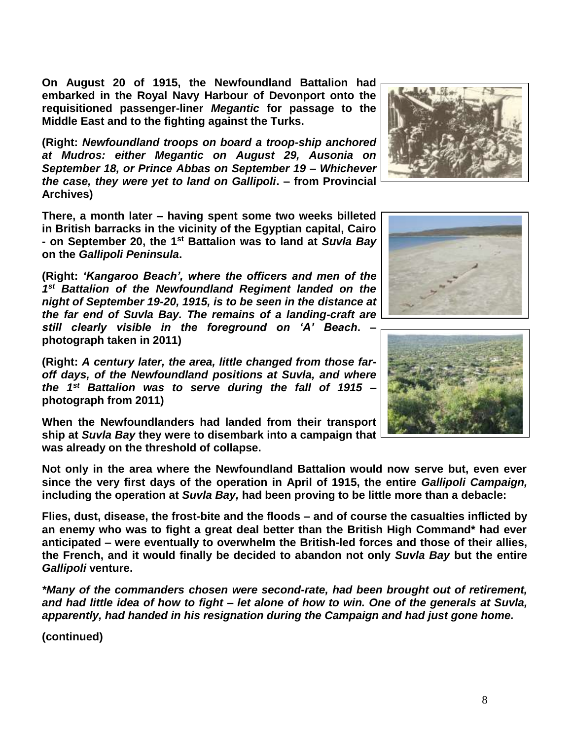**On August 20 of 1915, the Newfoundland Battalion had embarked in the Royal Navy Harbour of Devonport onto the requisitioned passenger-liner** *Megantic* **for passage to the Middle East and to the fighting against the Turks.**

**(Right:** *Newfoundland troops on board a troop-ship anchored at Mudros: either Megantic on August 29, Ausonia on September 18, or Prince Abbas on September 19 – Whichever the case, they were yet to land on Gallipoli***. – from Provincial Archives)**

**There, a month later – having spent some two weeks billeted in British barracks in the vicinity of the Egyptian capital, Cairo - on September 20, the 1st Battalion was to land at** *Suvla Bay* **on the** *Gallipoli Peninsula***.**

**(Right:** *'Kangaroo Beach', where the officers and men of the 1 st Battalion of the Newfoundland Regiment landed on the night of September 19-20, 1915, is to be seen in the distance at the far end of Suvla Bay. The remains of a landing-craft are still clearly visible in the foreground on 'A' Beach***. – photograph taken in 2011)**

**(Right:** *A century later, the area, little changed from those faroff days, of the Newfoundland positions at Suvla, and where the 1st Battalion was to serve during the fall of 1915* **– photograph from 2011)**

**When the Newfoundlanders had landed from their transport ship at** *Suvla Bay* **they were to disembark into a campaign that was already on the threshold of collapse.**

**Not only in the area where the Newfoundland Battalion would now serve but, even ever since the very first days of the operation in April of 1915, the entire** *Gallipoli Campaign,* **including the operation at** *Suvla Bay,* **had been proving to be little more than a debacle:** 

**Flies, dust, disease, the frost-bite and the floods – and of course the casualties inflicted by an enemy who was to fight a great deal better than the British High Command\* had ever anticipated – were eventually to overwhelm the British-led forces and those of their allies, the French, and it would finally be decided to abandon not only** *Suvla Bay* **but the entire**  *Gallipoli* **venture.**

*\*Many of the commanders chosen were second-rate, had been brought out of retirement, and had little idea of how to fight – let alone of how to win. One of the generals at Suvla, apparently, had handed in his resignation during the Campaign and had just gone home.* 





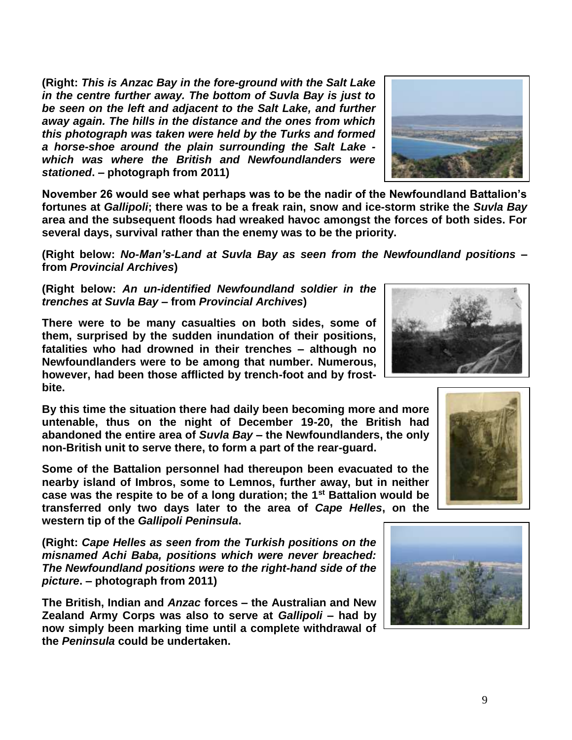**(Right:** *This is Anzac Bay in the fore-ground with the Salt Lake in the centre further away. The bottom of Suvla Bay is just to be seen on the left and adjacent to the Salt Lake, and further away again. The hills in the distance and the ones from which this photograph was taken were held by the Turks and formed a horse-shoe around the plain surrounding the Salt Lake which was where the British and Newfoundlanders were stationed***. – photograph from 2011)**

**November 26 would see what perhaps was to be the nadir of the Newfoundland Battalion's fortunes at** *Gallipoli***; there was to be a freak rain, snow and ice-storm strike the** *Suvla Bay* **area and the subsequent floods had wreaked havoc amongst the forces of both sides. For several days, survival rather than the enemy was to be the priority.**

**(Right below:** *No-Man's-Land at Suvla Bay as seen from the Newfoundland positions* **– from** *Provincial Archives***)**

**(Right below:** *An un-identified Newfoundland soldier in the trenches at Suvla Bay –* **from** *Provincial Archives***)**

**There were to be many casualties on both sides, some of them, surprised by the sudden inundation of their positions, fatalities who had drowned in their trenches – although no Newfoundlanders were to be among that number. Numerous, however, had been those afflicted by trench-foot and by frostbite.**

**By this time the situation there had daily been becoming more and more untenable, thus on the night of December 19-20, the British had abandoned the entire area of** *Suvla Bay* **– the Newfoundlanders, the only non-British unit to serve there, to form a part of the rear-guard.** 

**Some of the Battalion personnel had thereupon been evacuated to the nearby island of Imbros, some to Lemnos, further away, but in neither case was the respite to be of a long duration; the 1st Battalion would be transferred only two days later to the area of** *Cape Helles***, on the western tip of the** *Gallipoli Peninsula***.**

**(Right:** *Cape Helles as seen from the Turkish positions on the misnamed Achi Baba, positions which were never breached: The Newfoundland positions were to the right-hand side of the picture***. – photograph from 2011)**

**The British, Indian and** *Anzac* **forces – the Australian and New Zealand Army Corps was also to serve at** *Gallipoli* **– had by now simply been marking time until a complete withdrawal of the** *Peninsula* **could be undertaken.** 







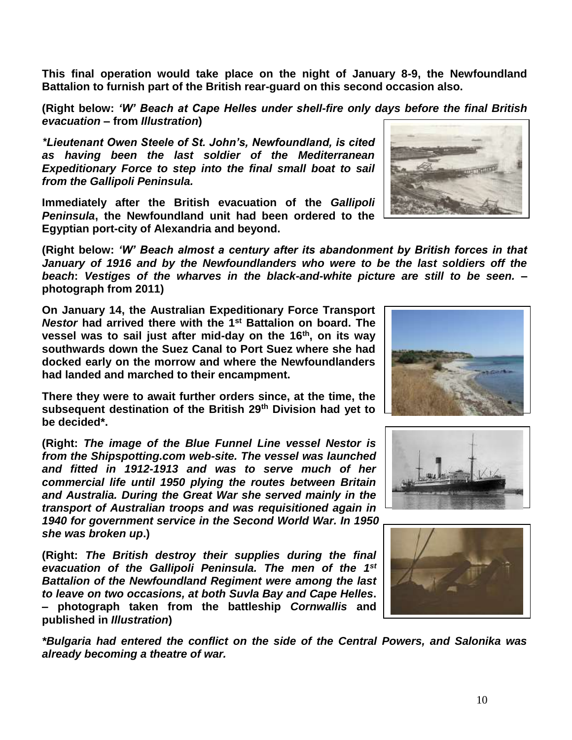**This final operation would take place on the night of January 8-9, the Newfoundland Battalion to furnish part of the British rear-guard on this second occasion also.**

**(Right below:** *'W' Beach at Cape Helles under shell-fire only days before the final British evacuation* **– from** *Illustration***)**

*\*Lieutenant Owen Steele of St. John's, Newfoundland, is cited as having been the last soldier of the Mediterranean Expeditionary Force to step into the final small boat to sail from the Gallipoli Peninsula.*

**Immediately after the British evacuation of the** *Gallipoli Peninsula***, the Newfoundland unit had been ordered to the Egyptian port-city of Alexandria and beyond.** 

**(Right below:** *'W' Beach almost a century after its abandonment by British forces in that January of 1916 and by the Newfoundlanders who were to be the last soldiers off the beach***:** *Vestiges of the wharves in the black-and-white picture are still to be seen.* **– photograph from 2011)**

**On January 14, the Australian Expeditionary Force Transport**  *Nestor* **had arrived there with the 1st Battalion on board. The vessel was to sail just after mid-day on the 16th, on its way southwards down the Suez Canal to Port Suez where she had docked early on the morrow and where the Newfoundlanders had landed and marched to their encampment.**

**There they were to await further orders since, at the time, the subsequent destination of the British 29th Division had yet to be decided\*.**

**(Right:** *The image of the Blue Funnel Line vessel Nestor is from the Shipspotting.com web-site. The vessel was launched and fitted in 1912-1913 and was to serve much of her commercial life until 1950 plying the routes between Britain and Australia. During the Great War she served mainly in the transport of Australian troops and was requisitioned again in 1940 for government service in the Second World War. In 1950 she was broken up***.)**

**(Right:** *The British destroy their supplies during the final evacuation of the Gallipoli Peninsula. The men of the 1st Battalion of the Newfoundland Regiment were among the last to leave on two occasions, at both Suvla Bay and Cape Helles***. – photograph taken from the battleship** *Cornwallis* **and published in** *Illustration***)**

*\*Bulgaria had entered the conflict on the side of the Central Powers, and Salonika was already becoming a theatre of war.*







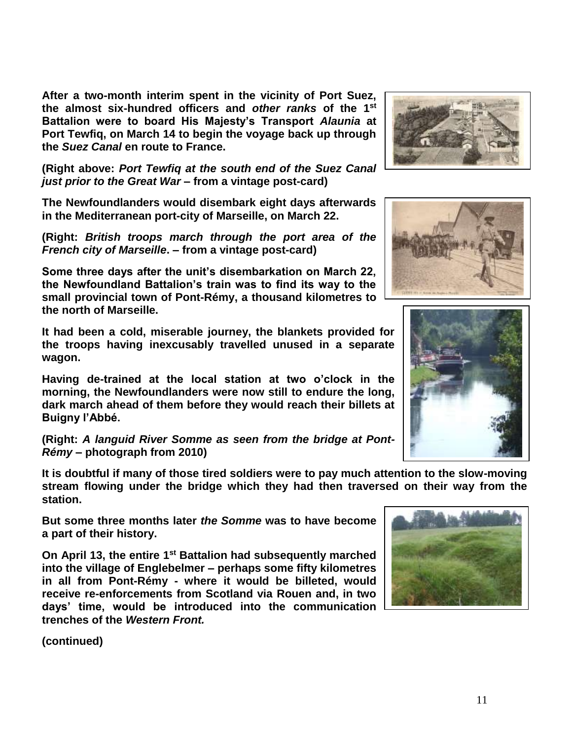**After a two-month interim spent in the vicinity of Port Suez, the almost six-hundred officers and** *other ranks* **of the 1st Battalion were to board His Majesty's Transport** *Alaunia* **at Port Tewfiq, on March 14 to begin the voyage back up through the** *Suez Canal* **en route to France.**

**(Right above:** *Port Tewfiq at the south end of the Suez Canal just prior to the Great War* **– from a vintage post-card)**

**The Newfoundlanders would disembark eight days afterwards in the Mediterranean port-city of Marseille, on March 22.**

**(Right:** *British troops march through the port area of the French city of Marseille***. – from a vintage post-card)**

**Some three days after the unit's disembarkation on March 22, the Newfoundland Battalion's train was to find its way to the small provincial town of Pont-Rémy, a thousand kilometres to the north of Marseille.** 

**It had been a cold, miserable journey, the blankets provided for the troops having inexcusably travelled unused in a separate wagon.**

**Having de-trained at the local station at two o'clock in the morning, the Newfoundlanders were now still to endure the long, dark march ahead of them before they would reach their billets at Buigny l'Abbé.**

**(Right:** *A languid River Somme as seen from the bridge at Pont-Rémy* **– photograph from 2010)**

**It is doubtful if many of those tired soldiers were to pay much attention to the slow-moving stream flowing under the bridge which they had then traversed on their way from the station.**

**But some three months later** *the Somme* **was to have become a part of their history.**

**On April 13, the entire 1st Battalion had subsequently marched into the village of Englebelmer – perhaps some fifty kilometres in all from Pont-Rémy - where it would be billeted, would receive re-enforcements from Scotland via Rouen and, in two days' time, would be introduced into the communication trenches of the** *Western Front.*







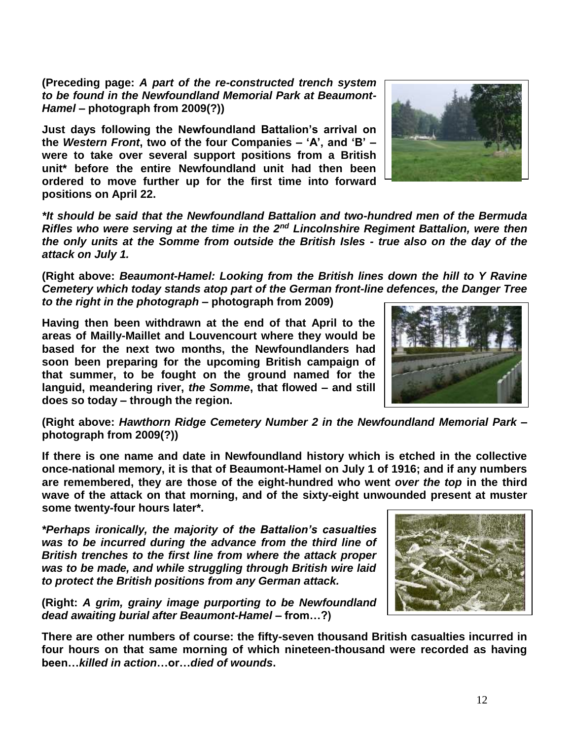**(Preceding page:** *A part of the re-constructed trench system to be found in the Newfoundland Memorial Park at Beaumont-Hamel* **– photograph from 2009(?))**

**Just days following the Newfoundland Battalion's arrival on the** *Western Front***, two of the four Companies – 'A', and 'B' – were to take over several support positions from a British unit\* before the entire Newfoundland unit had then been ordered to move further up for the first time into forward positions on April 22.**



*\*It should be said that the Newfoundland Battalion and two-hundred men of the Bermuda Rifles who were serving at the time in the 2nd Lincolnshire Regiment Battalion, were then the only units at the Somme from outside the British Isles - true also on the day of the attack on July 1.*

**(Right above:** *Beaumont-Hamel: Looking from the British lines down the hill to Y Ravine Cemetery which today stands atop part of the German front-line defences, the Danger Tree to the right in the photograph* **– photograph from 2009)**

**Having then been withdrawn at the end of that April to the areas of Mailly-Maillet and Louvencourt where they would be based for the next two months, the Newfoundlanders had soon been preparing for the upcoming British campaign of that summer, to be fought on the ground named for the languid, meandering river,** *the Somme***, that flowed – and still does so today – through the region.**



**(Right above:** *Hawthorn Ridge Cemetery Number 2 in the Newfoundland Memorial Park* **– photograph from 2009(?))**

**If there is one name and date in Newfoundland history which is etched in the collective once-national memory, it is that of Beaumont-Hamel on July 1 of 1916; and if any numbers are remembered, they are those of the eight-hundred who went** *over the top* **in the third wave of the attack on that morning, and of the sixty-eight unwounded present at muster some twenty-four hours later\*.**

*\*Perhaps ironically, the majority of the Battalion's casualties was to be incurred during the advance from the third line of British trenches to the first line from where the attack proper was to be made, and while struggling through British wire laid to protect the British positions from any German attack.*

**(Right:** *A grim, grainy image purporting to be Newfoundland dead awaiting burial after Beaumont-Hamel –* **from…?)**

**There are other numbers of course: the fifty-seven thousand British casualties incurred in four hours on that same morning of which nineteen-thousand were recorded as having been…***killed in action***…or…***died of wounds***.**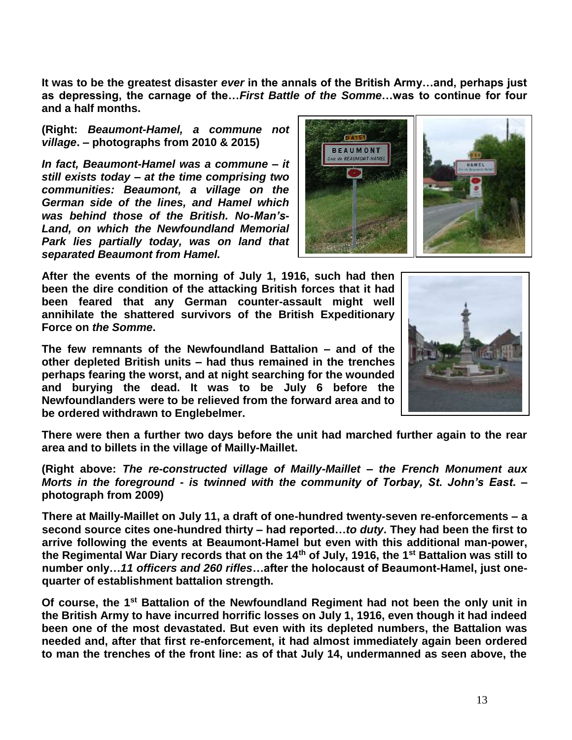**It was to be the greatest disaster** *ever* **in the annals of the British Army…and, perhaps just as depressing, the carnage of the…***First Battle of the Somme***…was to continue for four and a half months.**

**(Right:** *Beaumont-Hamel, a commune not village***. – photographs from 2010 & 2015)**

*In fact, Beaumont-Hamel was a commune – it still exists today – at the time comprising two communities: Beaumont, a village on the German side of the lines, and Hamel which was behind those of the British. No-Man's-Land, on which the Newfoundland Memorial Park lies partially today, was on land that separated Beaumont from Hamel.* 



**After the events of the morning of July 1, 1916, such had then been the dire condition of the attacking British forces that it had been feared that any German counter-assault might well annihilate the shattered survivors of the British Expeditionary Force on** *the Somme***.** 

**The few remnants of the Newfoundland Battalion – and of the other depleted British units – had thus remained in the trenches perhaps fearing the worst, and at night searching for the wounded and burying the dead. It was to be July 6 before the Newfoundlanders were to be relieved from the forward area and to be ordered withdrawn to Englebelmer.** 



**There were then a further two days before the unit had marched further again to the rear area and to billets in the village of Mailly-Maillet.**

**(Right above:** *The re-constructed village of Mailly-Maillet – the French Monument aux Morts in the foreground - is twinned with the community of Torbay, St. John's East***. – photograph from 2009)**

**There at Mailly-Maillet on July 11, a draft of one-hundred twenty-seven re-enforcements – a second source cites one-hundred thirty – had reported…***to duty***. They had been the first to arrive following the events at Beaumont-Hamel but even with this additional man-power, the Regimental War Diary records that on the 14th of July, 1916, the 1st Battalion was still to number only…***11 officers and 260 rifles***…after the holocaust of Beaumont-Hamel, just onequarter of establishment battalion strength.**

**Of course, the 1st Battalion of the Newfoundland Regiment had not been the only unit in the British Army to have incurred horrific losses on July 1, 1916, even though it had indeed been one of the most devastated. But even with its depleted numbers, the Battalion was needed and, after that first re-enforcement, it had almost immediately again been ordered to man the trenches of the front line: as of that July 14, undermanned as seen above, the**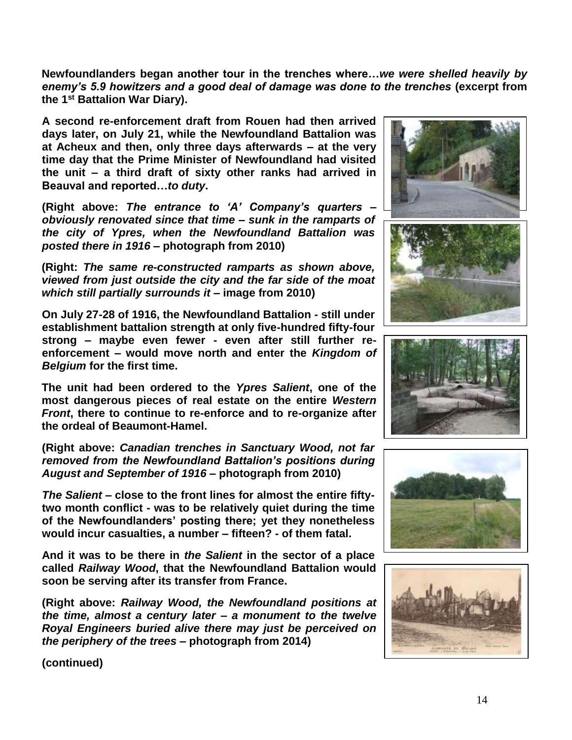**Newfoundlanders began another tour in the trenches where…***we were shelled heavily by enemy's 5.9 howitzers and a good deal of damage was done to the trenches* **(excerpt from the 1st Battalion War Diary).**

**A second re-enforcement draft from Rouen had then arrived days later, on July 21, while the Newfoundland Battalion was at Acheux and then, only three days afterwards – at the very time day that the Prime Minister of Newfoundland had visited the unit – a third draft of sixty other ranks had arrived in Beauval and reported…***to duty***.** 

**(Right above:** *The entrance to 'A' Company's quarters – obviously renovated since that time – sunk in the ramparts of the city of Ypres, when the Newfoundland Battalion was posted there in 1916 –* **photograph from 2010)**

**(Right:** *The same re-constructed ramparts as shown above, viewed from just outside the city and the far side of the moat which still partially surrounds it* **– image from 2010)**

**On July 27-28 of 1916, the Newfoundland Battalion - still under establishment battalion strength at only five-hundred fifty-four strong – maybe even fewer - even after still further reenforcement – would move north and enter the** *Kingdom of Belgium* **for the first time.** 

**The unit had been ordered to the** *Ypres Salient***, one of the most dangerous pieces of real estate on the entire** *Western Front***, there to continue to re-enforce and to re-organize after the ordeal of Beaumont-Hamel.**

**(Right above:** *Canadian trenches in Sanctuary Wood, not far removed from the Newfoundland Battalion's positions during August and September of 1916* **– photograph from 2010)**

*The Salient* **– close to the front lines for almost the entire fiftytwo month conflict - was to be relatively quiet during the time of the Newfoundlanders' posting there; yet they nonetheless would incur casualties, a number – fifteen? - of them fatal.**

**And it was to be there in** *the Salient* **in the sector of a place called** *Railway Wood***, that the Newfoundland Battalion would soon be serving after its transfer from France.**

**(Right above:** *Railway Wood, the Newfoundland positions at the time, almost a century later – a monument to the twelve Royal Engineers buried alive there may just be perceived on the periphery of the trees* **– photograph from 2014)**









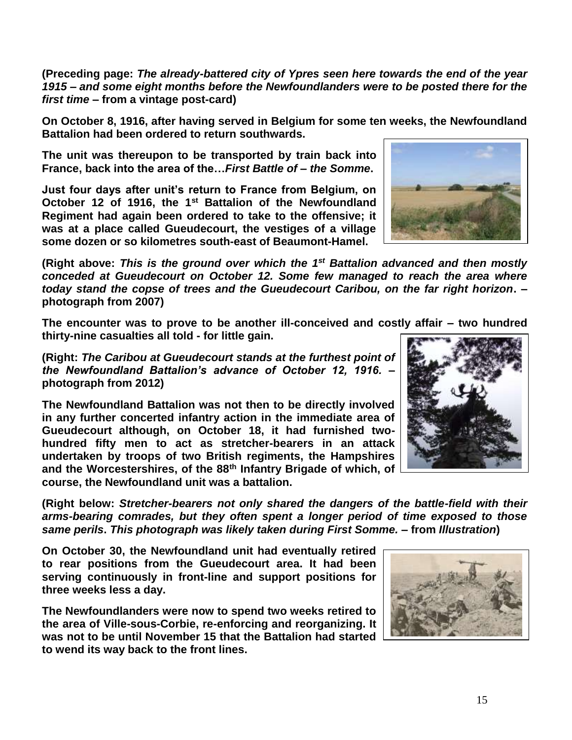**(Preceding page:** *The already-battered city of Ypres seen here towards the end of the year 1915 – and some eight months before the Newfoundlanders were to be posted there for the first time* **– from a vintage post-card)**

**On October 8, 1916, after having served in Belgium for some ten weeks, the Newfoundland Battalion had been ordered to return southwards.** 

**The unit was thereupon to be transported by train back into France, back into the area of the…***First Battle of* **–** *the Somme***.**

**Just four days after unit's return to France from Belgium, on October 12 of 1916, the 1st Battalion of the Newfoundland Regiment had again been ordered to take to the offensive; it was at a place called Gueudecourt, the vestiges of a village some dozen or so kilometres south-east of Beaumont-Hamel.**

(Right above: This is the ground over which the 1<sup>st</sup> Battalion advanced and then mostly *conceded at Gueudecourt on October 12. Some few managed to reach the area where today stand the copse of trees and the Gueudecourt Caribou, on the far right horizon***. – photograph from 2007)**

**The encounter was to prove to be another ill-conceived and costly affair – two hundred thirty-nine casualties all told - for little gain.**

**(Right:** *The Caribou at Gueudecourt stands at the furthest point of the Newfoundland Battalion's advance of October 12, 1916.* **– photograph from 2012)**

**The Newfoundland Battalion was not then to be directly involved in any further concerted infantry action in the immediate area of Gueudecourt although, on October 18, it had furnished twohundred fifty men to act as stretcher-bearers in an attack undertaken by troops of two British regiments, the Hampshires and the Worcestershires, of the 88th Infantry Brigade of which, of course, the Newfoundland unit was a battalion.**

**(Right below:** *Stretcher-bearers not only shared the dangers of the battle-field with their arms-bearing comrades, but they often spent a longer period of time exposed to those same perils***.** *This photograph was likely taken during First Somme.* **– from** *Illustration***)**

**On October 30, the Newfoundland unit had eventually retired to rear positions from the Gueudecourt area. It had been serving continuously in front-line and support positions for three weeks less a day.**

**The Newfoundlanders were now to spend two weeks retired to the area of Ville-sous-Corbie, re-enforcing and reorganizing. It was not to be until November 15 that the Battalion had started to wend its way back to the front lines.** 







15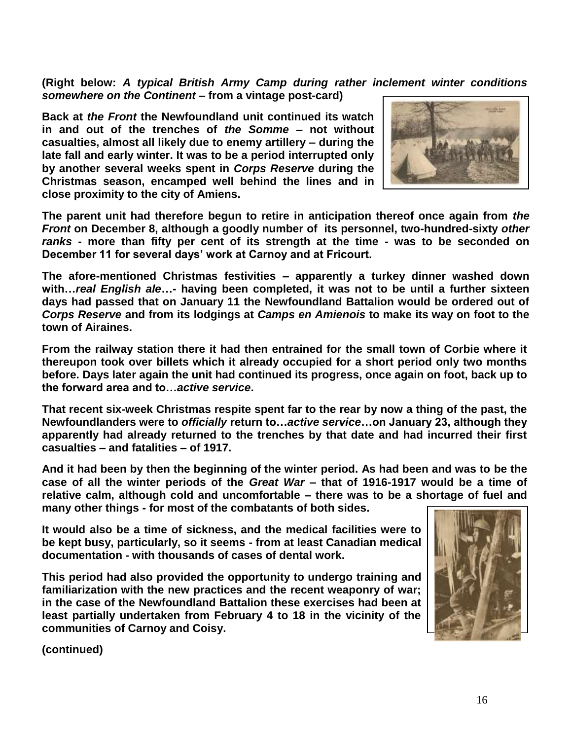**(Right below:** *A typical British Army Camp during rather inclement winter conditions somewhere on the Continent* **– from a vintage post-card)** 

**Back at** *the Front* **the Newfoundland unit continued its watch in and out of the trenches of** *the Somme* **– not without casualties, almost all likely due to enemy artillery – during the late fall and early winter. It was to be a period interrupted only by another several weeks spent in** *Corps Reserve* **during the Christmas season, encamped well behind the lines and in close proximity to the city of Amiens.**



**The parent unit had therefore begun to retire in anticipation thereof once again from** *the Front* **on December 8, although a goodly number of its personnel, two-hundred-sixty** *other ranks* **- more than fifty per cent of its strength at the time - was to be seconded on December 11 for several days' work at Carnoy and at Fricourt.**

**The afore-mentioned Christmas festivities – apparently a turkey dinner washed down with…***real English ale***…- having been completed, it was not to be until a further sixteen days had passed that on January 11 the Newfoundland Battalion would be ordered out of**  *Corps Reserve* **and from its lodgings at** *Camps en Amienois* **to make its way on foot to the town of Airaines.**

**From the railway station there it had then entrained for the small town of Corbie where it thereupon took over billets which it already occupied for a short period only two months before. Days later again the unit had continued its progress, once again on foot, back up to the forward area and to…***active service***.**

**That recent six-week Christmas respite spent far to the rear by now a thing of the past, the Newfoundlanders were to** *officially* **return to…***active service***…on January 23, although they apparently had already returned to the trenches by that date and had incurred their first casualties – and fatalities – of 1917.**

**And it had been by then the beginning of the winter period. As had been and was to be the case of all the winter periods of the** *Great War* **– that of 1916-1917 would be a time of relative calm, although cold and uncomfortable – there was to be a shortage of fuel and many other things - for most of the combatants of both sides.** 

**It would also be a time of sickness, and the medical facilities were to be kept busy, particularly, so it seems - from at least Canadian medical documentation - with thousands of cases of dental work.**

**This period had also provided the opportunity to undergo training and familiarization with the new practices and the recent weaponry of war; in the case of the Newfoundland Battalion these exercises had been at least partially undertaken from February 4 to 18 in the vicinity of the communities of Carnoy and Coisy.**

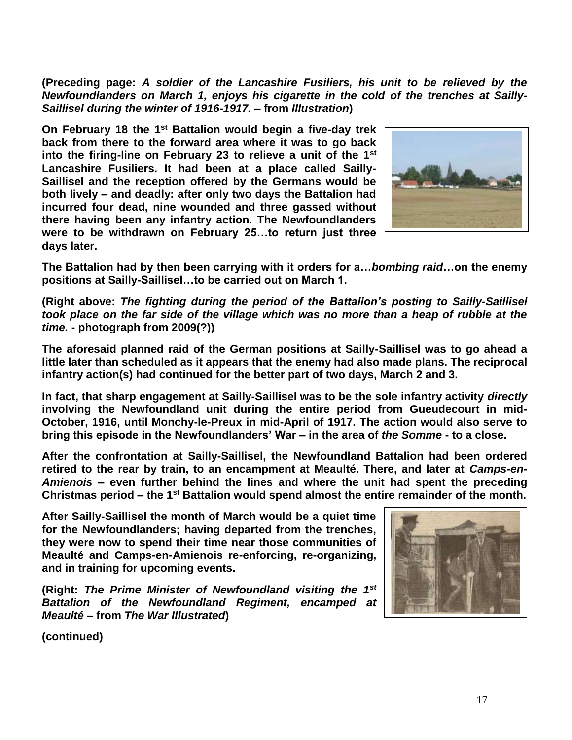**(Preceding page:** *A soldier of the Lancashire Fusiliers, his unit to be relieved by the Newfoundlanders on March 1, enjoys his cigarette in the cold of the trenches at Sailly-Saillisel during the winter of 1916-1917. –* **from** *Illustration***)**

**On February 18 the 1st Battalion would begin a five-day trek back from there to the forward area where it was to go back into the firing-line on February 23 to relieve a unit of the 1st Lancashire Fusiliers. It had been at a place called Sailly-Saillisel and the reception offered by the Germans would be both lively – and deadly: after only two days the Battalion had incurred four dead, nine wounded and three gassed without there having been any infantry action. The Newfoundlanders were to be withdrawn on February 25…to return just three days later.**



**The Battalion had by then been carrying with it orders for a…***bombing raid***…on the enemy positions at Sailly-Saillisel…to be carried out on March 1.**

**(Right above:** *The fighting during the period of the Battalion's posting to Sailly-Saillisel took place on the far side of the village which was no more than a heap of rubble at the time.* **- photograph from 2009(?))**

**The aforesaid planned raid of the German positions at Sailly-Saillisel was to go ahead a little later than scheduled as it appears that the enemy had also made plans. The reciprocal infantry action(s) had continued for the better part of two days, March 2 and 3.** 

**In fact, that sharp engagement at Sailly-Saillisel was to be the sole infantry activity** *directly* **involving the Newfoundland unit during the entire period from Gueudecourt in mid-October, 1916, until Monchy-le-Preux in mid-April of 1917. The action would also serve to bring this episode in the Newfoundlanders' War – in the area of** *the Somme* **- to a close.**

**After the confrontation at Sailly-Saillisel, the Newfoundland Battalion had been ordered retired to the rear by train, to an encampment at Meaulté. There, and later at** *Camps-en-Amienois* **– even further behind the lines and where the unit had spent the preceding Christmas period – the 1st Battalion would spend almost the entire remainder of the month.**

**After Sailly-Saillisel the month of March would be a quiet time for the Newfoundlanders; having departed from the trenches, they were now to spend their time near those communities of Meaulté and Camps-en-Amienois re-enforcing, re-organizing, and in training for upcoming events.**

**(Right:** *The Prime Minister of Newfoundland visiting the 1st Battalion of the Newfoundland Regiment, encamped at Meaulté* **– from** *The War Illustrated***)**

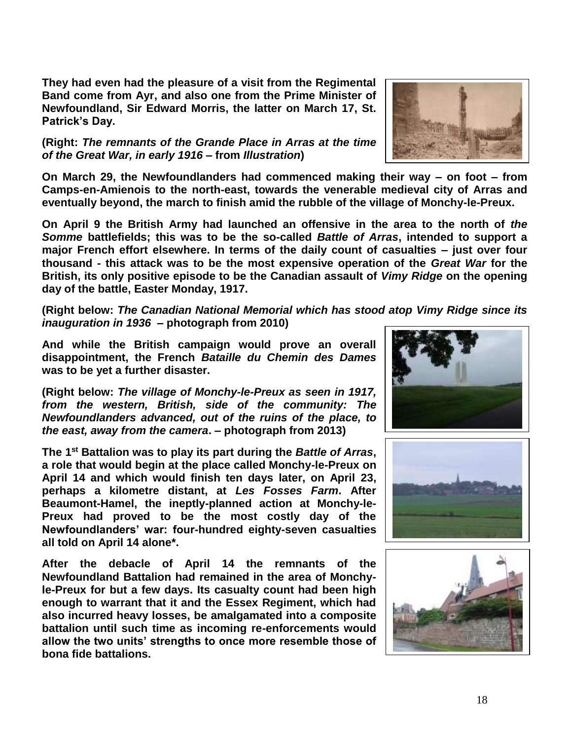**They had even had the pleasure of a visit from the Regimental Band come from Ayr, and also one from the Prime Minister of Newfoundland, Sir Edward Morris, the latter on March 17, St. Patrick's Day.**

## **(Right:** *The remnants of the Grande Place in Arras at the time of the Great War, in early 1916* **– from** *Illustration***)**

**On March 29, the Newfoundlanders had commenced making their way – on foot – from Camps-en-Amienois to the north-east, towards the venerable medieval city of Arras and eventually beyond, the march to finish amid the rubble of the village of Monchy-le-Preux.** 

**On April 9 the British Army had launched an offensive in the area to the north of** *the Somme* **battlefields; this was to be the so-called** *Battle of Arras***, intended to support a major French effort elsewhere. In terms of the daily count of casualties – just over four thousand - this attack was to be the most expensive operation of the** *Great War* **for the British, its only positive episode to be the Canadian assault of** *Vimy Ridge* **on the opening day of the battle, Easter Monday, 1917.** 

**(Right below:** *The Canadian National Memorial which has stood atop Vimy Ridge since its inauguration in 1936* **– photograph from 2010)**

**And while the British campaign would prove an overall disappointment, the French** *Bataille du Chemin des Dames* **was to be yet a further disaster.**

**(Right below:** *The village of Monchy-le-Preux as seen in 1917, from the western, British, side of the community: The Newfoundlanders advanced, out of the ruins of the place, to the east, away from the camera***. – photograph from 2013)**

**The 1st Battalion was to play its part during the** *Battle of Arras***, a role that would begin at the place called Monchy-le-Preux on April 14 and which would finish ten days later, on April 23, perhaps a kilometre distant, at** *Les Fosses Farm***. After Beaumont-Hamel, the ineptly-planned action at Monchy-le-Preux had proved to be the most costly day of the Newfoundlanders' war: four-hundred eighty-seven casualties all told on April 14 alone\*.**

**After the debacle of April 14 the remnants of the Newfoundland Battalion had remained in the area of Monchyle-Preux for but a few days. Its casualty count had been high enough to warrant that it and the Essex Regiment, which had also incurred heavy losses, be amalgamated into a composite battalion until such time as incoming re-enforcements would allow the two units' strengths to once more resemble those of bona fide battalions.**







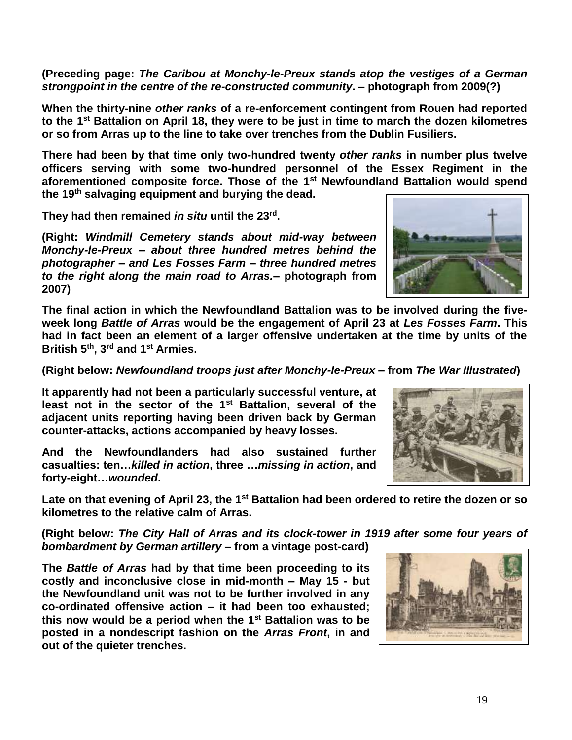**(Preceding page:** *The Caribou at Monchy-le-Preux stands atop the vestiges of a German strongpoint in the centre of the re-constructed community***. – photograph from 2009(?)**

**When the thirty-nine** *other ranks* **of a re-enforcement contingent from Rouen had reported to the 1st Battalion on April 18, they were to be just in time to march the dozen kilometres or so from Arras up to the line to take over trenches from the Dublin Fusiliers.**

**There had been by that time only two-hundred twenty** *other ranks* **in number plus twelve officers serving with some two-hundred personnel of the Essex Regiment in the aforementioned composite force. Those of the 1st Newfoundland Battalion would spend the 19th salvaging equipment and burying the dead.** 

**They had then remained** *in situ* **until the 23rd .**

**(Right:** *Windmill Cemetery stands about mid-way between Monchy-le-Preux – about three hundred metres behind the photographer – and Les Fosses Farm – three hundred metres to the right along the main road to Arras.***– photograph from 2007)**

**The final action in which the Newfoundland Battalion was to be involved during the fiveweek long** *Battle of Arras* **would be the engagement of April 23 at** *Les Fosses Farm***. This had in fact been an element of a larger offensive undertaken at the time by units of the British 5th, 3rd and 1st Armies.** 

**(Right below:** *Newfoundland troops just after Monchy-le-Preux* **– from** *The War Illustrated***)**

**It apparently had not been a particularly successful venture, at least not in the sector of the 1st Battalion, several of the adjacent units reporting having been driven back by German counter-attacks, actions accompanied by heavy losses.**

**And the Newfoundlanders had also sustained further casualties: ten…***killed in action***, three …***missing in action***, and forty-eight…***wounded***.**

**Late on that evening of April 23, the 1st Battalion had been ordered to retire the dozen or so kilometres to the relative calm of Arras.** 

**(Right below:** *The City Hall of Arras and its clock-tower in 1919 after some four years of bombardment by German artillery* **– from a vintage post-card)** 

**The** *Battle of Arras* **had by that time been proceeding to its costly and inconclusive close in mid-month – May 15 - but the Newfoundland unit was not to be further involved in any co-ordinated offensive action – it had been too exhausted; this now would be a period when the 1st Battalion was to be posted in a nondescript fashion on the** *Arras Front***, in and out of the quieter trenches.** 





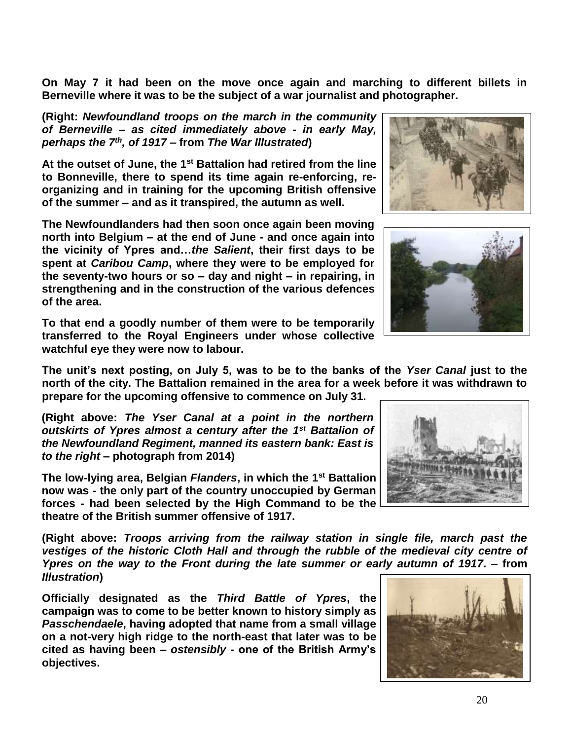**On May 7 it had been on the move once again and marching to different billets in Berneville where it was to be the subject of a war journalist and photographer.**

**(Right:** *Newfoundland troops on the march in the community of Berneville – as cited immediately above - in early May, perhaps the 7th , of 1917* **– from** *The War Illustrated***)**

**At the outset of June, the 1st Battalion had retired from the line to Bonneville, there to spend its time again re-enforcing, reorganizing and in training for the upcoming British offensive of the summer – and as it transpired, the autumn as well.**

**The Newfoundlanders had then soon once again been moving north into Belgium – at the end of June - and once again into the vicinity of Ypres and…***the Salient***, their first days to be spent at** *Caribou Camp***, where they were to be employed for the seventy-two hours or so – day and night – in repairing, in strengthening and in the construction of the various defences of the area.**

**To that end a goodly number of them were to be temporarily transferred to the Royal Engineers under whose collective watchful eye they were now to labour.** 

**The unit's next posting, on July 5, was to be to the banks of the** *Yser Canal* **just to the north of the city. The Battalion remained in the area for a week before it was withdrawn to prepare for the upcoming offensive to commence on July 31.** 

**(Right above:** *The Yser Canal at a point in the northern outskirts of Ypres almost a century after the 1st Battalion of the Newfoundland Regiment, manned its eastern bank: East is to the right* **– photograph from 2014)**

**The low-lying area, Belgian** *Flanders***, in which the 1st Battalion now was - the only part of the country unoccupied by German forces - had been selected by the High Command to be the theatre of the British summer offensive of 1917.**

**(Right above:** *Troops arriving from the railway station in single file, march past the vestiges of the historic Cloth Hall and through the rubble of the medieval city centre of Ypres on the way to the Front during the late summer or early autumn of 1917***. – from**  *Illustration***)**

**Officially designated as the** *Third Battle of Ypres***, the campaign was to come to be better known to history simply as**  *Passchendaele***, having adopted that name from a small village on a not-very high ridge to the north-east that later was to be cited as having been –** *ostensibly* **- one of the British Army's objectives.**







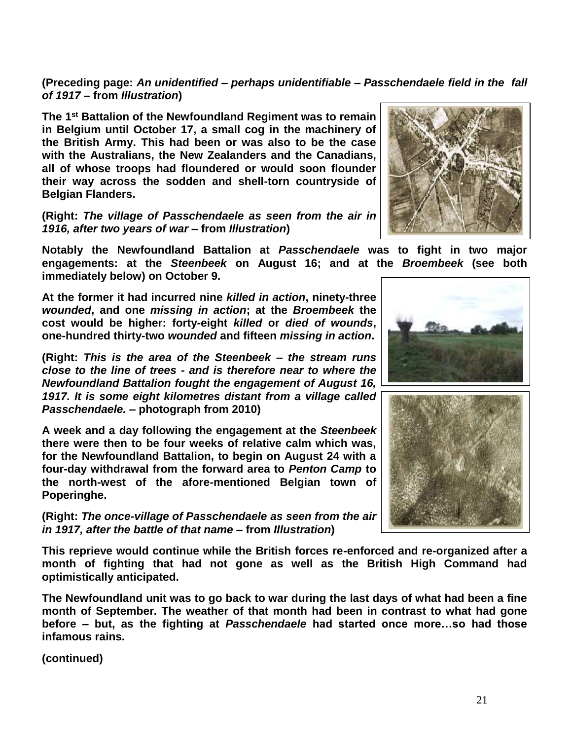**(Preceding page:** *An unidentified – perhaps unidentifiable – Passchendaele field in the fall of 1917* **– from** *Illustration***)**

**The 1st Battalion of the Newfoundland Regiment was to remain in Belgium until October 17, a small cog in the machinery of the British Army. This had been or was also to be the case with the Australians, the New Zealanders and the Canadians, all of whose troops had floundered or would soon flounder their way across the sodden and shell-torn countryside of Belgian Flanders.** 

**(Right:** *The village of Passchendaele as seen from the air in 1916, after two years of war* **– from** *Illustration***)**

**Notably the Newfoundland Battalion at** *Passchendaele* **was to fight in two major engagements: at the** *Steenbeek* **on August 16; and at the** *Broembeek* **(see both immediately below) on October 9.** 

**At the former it had incurred nine** *killed in action***, ninety-three**  *wounded***, and one** *missing in action***; at the** *Broembeek* **the cost would be higher: forty-eight** *killed* **or** *died of wounds***, one-hundred thirty-two** *wounded* **and fifteen** *missing in action***.**

**(Right:** *This is the area of the Steenbeek – the stream runs close to the line of trees - and is therefore near to where the Newfoundland Battalion fought the engagement of August 16, 1917. It is some eight kilometres distant from a village called Passchendaele.* **– photograph from 2010)**

**A week and a day following the engagement at the** *Steenbeek* **there were then to be four weeks of relative calm which was, for the Newfoundland Battalion, to begin on August 24 with a four-day withdrawal from the forward area to** *Penton Camp* **to the north-west of the afore-mentioned Belgian town of Poperinghe.**

**(Right:** *The once-village of Passchendaele as seen from the air in 1917, after the battle of that name* **– from** *Illustration***)**

**This reprieve would continue while the British forces re-enforced and re-organized after a month of fighting that had not gone as well as the British High Command had optimistically anticipated.** 

**The Newfoundland unit was to go back to war during the last days of what had been a fine month of September. The weather of that month had been in contrast to what had gone before – but, as the fighting at** *Passchendaele* **had started once more…so had those infamous rains.** 





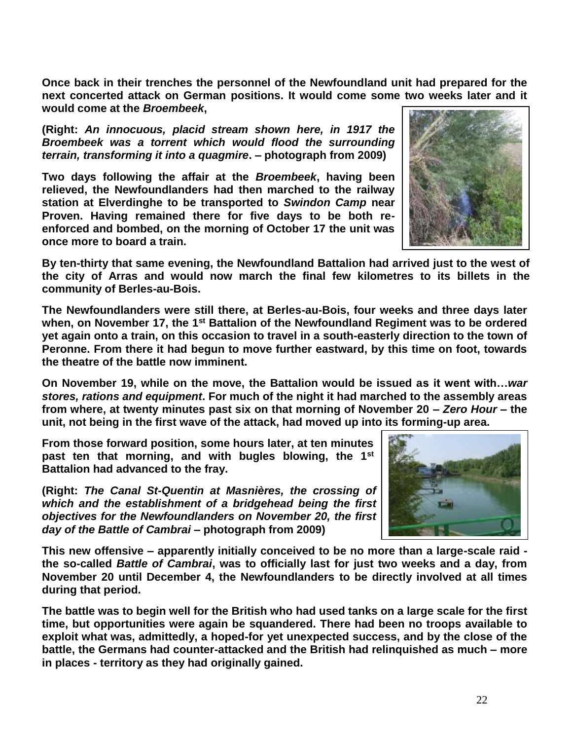**Once back in their trenches the personnel of the Newfoundland unit had prepared for the next concerted attack on German positions. It would come some two weeks later and it would come at the** *Broembeek***,** 

**(Right:** *An innocuous, placid stream shown here, in 1917 the Broembeek was a torrent which would flood the surrounding terrain, transforming it into a quagmire***. – photograph from 2009)**

**Two days following the affair at the** *Broembeek***, having been relieved, the Newfoundlanders had then marched to the railway station at Elverdinghe to be transported to** *Swindon Camp* **near Proven. Having remained there for five days to be both reenforced and bombed, on the morning of October 17 the unit was once more to board a train.** 

**By ten-thirty that same evening, the Newfoundland Battalion had arrived just to the west of the city of Arras and would now march the final few kilometres to its billets in the community of Berles-au-Bois.**

**The Newfoundlanders were still there, at Berles-au-Bois, four weeks and three days later when, on November 17, the 1st Battalion of the Newfoundland Regiment was to be ordered yet again onto a train, on this occasion to travel in a south-easterly direction to the town of Peronne. From there it had begun to move further eastward, by this time on foot, towards the theatre of the battle now imminent.** 

**On November 19, while on the move, the Battalion would be issued as it went with…***war stores, rations and equipment***. For much of the night it had marched to the assembly areas from where, at twenty minutes past six on that morning of November 20 –** *Zero Hour* **– the unit, not being in the first wave of the attack, had moved up into its forming-up area.** 

**From those forward position, some hours later, at ten minutes past ten that morning, and with bugles blowing, the 1st Battalion had advanced to the fray.**

**(Right:** *The Canal St-Quentin at Masnières, the crossing of which and the establishment of a bridgehead being the first objectives for the Newfoundlanders on November 20, the first day of the Battle of Cambrai* **– photograph from 2009)**



**This new offensive – apparently initially conceived to be no more than a large-scale raid the so-called** *Battle of Cambrai***, was to officially last for just two weeks and a day, from November 20 until December 4, the Newfoundlanders to be directly involved at all times during that period.** 

**The battle was to begin well for the British who had used tanks on a large scale for the first time, but opportunities were again be squandered. There had been no troops available to exploit what was, admittedly, a hoped-for yet unexpected success, and by the close of the battle, the Germans had counter-attacked and the British had relinquished as much – more in places - territory as they had originally gained.** 

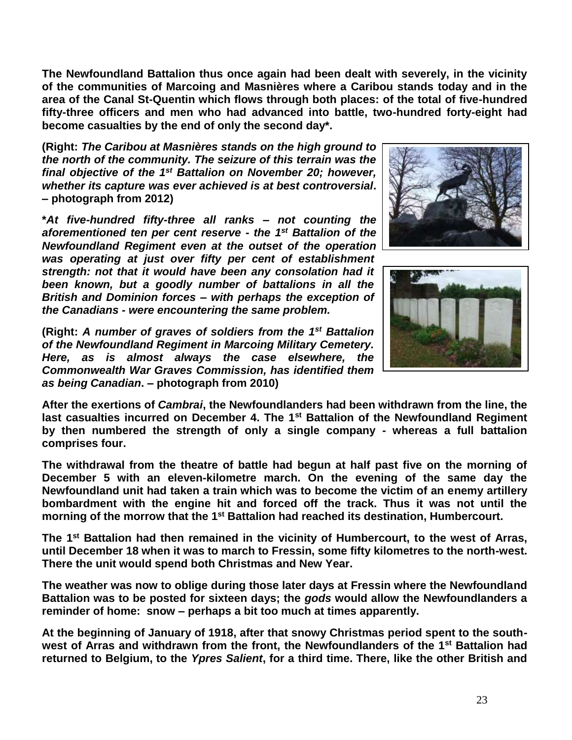**The Newfoundland Battalion thus once again had been dealt with severely, in the vicinity of the communities of Marcoing and Masnières where a Caribou stands today and in the area of the Canal St-Quentin which flows through both places: of the total of five-hundred fifty-three officers and men who had advanced into battle, two-hundred forty-eight had become casualties by the end of only the second day\*.**

**(Right:** *The Caribou at Masnières stands on the high ground to the north of the community. The seizure of this terrain was the final objective of the 1 st Battalion on November 20; however, whether its capture was ever achieved is at best controversial***. – photograph from 2012)**

**\****At five-hundred fifty-three all ranks – not counting the aforementioned ten per cent reserve - the 1st Battalion of the Newfoundland Regiment even at the outset of the operation was operating at just over fifty per cent of establishment strength: not that it would have been any consolation had it been known, but a goodly number of battalions in all the British and Dominion forces – with perhaps the exception of the Canadians - were encountering the same problem.*

**(Right:** *A number of graves of soldiers from the 1st Battalion of the Newfoundland Regiment in Marcoing Military Cemetery. Here, as is almost always the case elsewhere, the Commonwealth War Graves Commission, has identified them as being Canadian***. – photograph from 2010)**





**After the exertions of** *Cambrai***, the Newfoundlanders had been withdrawn from the line, the last casualties incurred on December 4. The 1st Battalion of the Newfoundland Regiment by then numbered the strength of only a single company - whereas a full battalion comprises four.** 

**The withdrawal from the theatre of battle had begun at half past five on the morning of December 5 with an eleven-kilometre march. On the evening of the same day the Newfoundland unit had taken a train which was to become the victim of an enemy artillery bombardment with the engine hit and forced off the track. Thus it was not until the morning of the morrow that the 1st Battalion had reached its destination, Humbercourt.**

**The 1st Battalion had then remained in the vicinity of Humbercourt, to the west of Arras, until December 18 when it was to march to Fressin, some fifty kilometres to the north-west. There the unit would spend both Christmas and New Year.** 

**The weather was now to oblige during those later days at Fressin where the Newfoundland Battalion was to be posted for sixteen days; the** *gods* **would allow the Newfoundlanders a reminder of home: snow – perhaps a bit too much at times apparently.**

**At the beginning of January of 1918, after that snowy Christmas period spent to the southwest of Arras and withdrawn from the front, the Newfoundlanders of the 1st Battalion had returned to Belgium, to the** *Ypres Salient***, for a third time. There, like the other British and**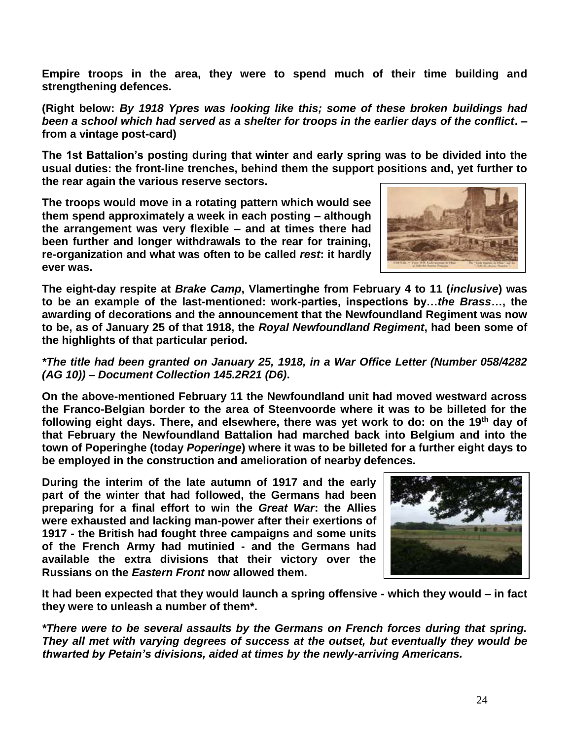**Empire troops in the area, they were to spend much of their time building and strengthening defences.**

**(Right below:** *By 1918 Ypres was looking like this; some of these broken buildings had been a school which had served as a shelter for troops in the earlier days of the conflict***. – from a vintage post-card)**

**The 1st Battalion's posting during that winter and early spring was to be divided into the usual duties: the front-line trenches, behind them the support positions and, yet further to the rear again the various reserve sectors.** 

**The troops would move in a rotating pattern which would see them spend approximately a week in each posting – although the arrangement was very flexible – and at times there had been further and longer withdrawals to the rear for training, re-organization and what was often to be called** *rest***: it hardly ever was.** 



**The eight-day respite at** *Brake Camp***, Vlamertinghe from February 4 to 11 (***inclusive***) was to be an example of the last-mentioned: work-parties, inspections by…***the Brass…***, the awarding of decorations and the announcement that the Newfoundland Regiment was now to be, as of January 25 of that 1918, the** *Royal Newfoundland Regiment***, had been some of the highlights of that particular period.**

## *\*The title had been granted on January 25, 1918, in a War Office Letter (Number 058/4282 (AG 10)) – Document Collection 145.2R21 (D6)***.**

**On the above-mentioned February 11 the Newfoundland unit had moved westward across the Franco-Belgian border to the area of Steenvoorde where it was to be billeted for the following eight days. There, and elsewhere, there was yet work to do: on the 19th day of that February the Newfoundland Battalion had marched back into Belgium and into the town of Poperinghe (today** *Poperinge***) where it was to be billeted for a further eight days to be employed in the construction and amelioration of nearby defences.**

**During the interim of the late autumn of 1917 and the early part of the winter that had followed, the Germans had been preparing for a final effort to win the** *Great War***: the Allies were exhausted and lacking man-power after their exertions of 1917 - the British had fought three campaigns and some units of the French Army had mutinied - and the Germans had available the extra divisions that their victory over the Russians on the** *Eastern Front* **now allowed them.**



**It had been expected that they would launch a spring offensive - which they would – in fact they were to unleash a number of them\*.**

*\*There were to be several assaults by the Germans on French forces during that spring. They all met with varying degrees of success at the outset, but eventually they would be thwarted by Petain's divisions, aided at times by the newly-arriving Americans.*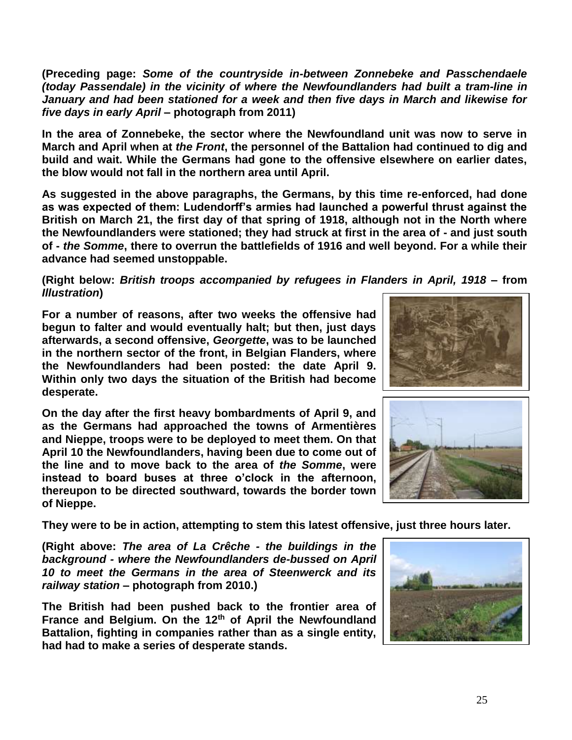**(Preceding page:** *Some of the countryside in-between Zonnebeke and Passchendaele (today Passendale) in the vicinity of where the Newfoundlanders had built a tram-line in January and had been stationed for a week and then five days in March and likewise for five days in early April* **– photograph from 2011)**

**In the area of Zonnebeke, the sector where the Newfoundland unit was now to serve in March and April when at** *the Front***, the personnel of the Battalion had continued to dig and build and wait. While the Germans had gone to the offensive elsewhere on earlier dates, the blow would not fall in the northern area until April.**

**As suggested in the above paragraphs, the Germans, by this time re-enforced, had done as was expected of them: Ludendorff's armies had launched a powerful thrust against the British on March 21, the first day of that spring of 1918, although not in the North where the Newfoundlanders were stationed; they had struck at first in the area of - and just south of -** *the Somme***, there to overrun the battlefields of 1916 and well beyond. For a while their advance had seemed unstoppable.**

## **(Right below:** *British troops accompanied by refugees in Flanders in April, 1918* **– from**  *Illustration***)**

**For a number of reasons, after two weeks the offensive had begun to falter and would eventually halt; but then, just days afterwards, a second offensive,** *Georgette***, was to be launched in the northern sector of the front, in Belgian Flanders, where the Newfoundlanders had been posted: the date April 9. Within only two days the situation of the British had become desperate.**

**On the day after the first heavy bombardments of April 9, and as the Germans had approached the towns of Armentières and Nieppe, troops were to be deployed to meet them. On that April 10 the Newfoundlanders, having been due to come out of the line and to move back to the area of** *the Somme***, were instead to board buses at three o'clock in the afternoon, thereupon to be directed southward, towards the border town of Nieppe.** 

**They were to be in action, attempting to stem this latest offensive, just three hours later.**

**(Right above:** *The area of La Crêche - the buildings in the background - where the Newfoundlanders de-bussed on April 10 to meet the Germans in the area of Steenwerck and its railway station* **– photograph from 2010.)**

**The British had been pushed back to the frontier area of France and Belgium. On the 12th of April the Newfoundland Battalion, fighting in companies rather than as a single entity, had had to make a series of desperate stands.**





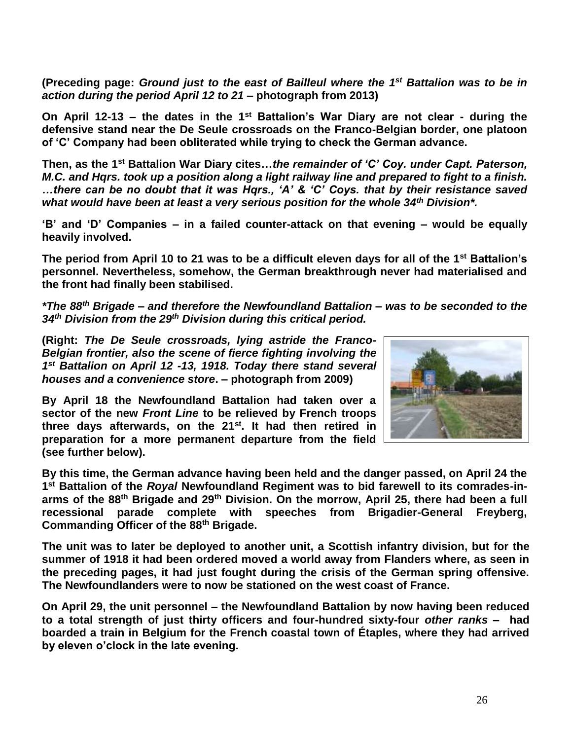(Preceding page: Ground just to the east of Bailleul where the 1<sup>st</sup> Battalion was to be in *action during the period April 12 to 21* **– photograph from 2013)**

**On April 12-13 – the dates in the 1st Battalion's War Diary are not clear - during the defensive stand near the De Seule crossroads on the Franco-Belgian border, one platoon of 'C' Company had been obliterated while trying to check the German advance.** 

**Then, as the 1st Battalion War Diary cites…***the remainder of 'C' Coy. under Capt. Paterson, M.C. and Hqrs. took up a position along a light railway line and prepared to fight to a finish. …there can be no doubt that it was Hqrs., 'A' & 'C' Coys. that by their resistance saved what would have been at least a very serious position for the whole 34th Division\*.*

**'B' and 'D' Companies – in a failed counter-attack on that evening – would be equally heavily involved.**

**The period from April 10 to 21 was to be a difficult eleven days for all of the 1st Battalion's personnel. Nevertheless, somehow, the German breakthrough never had materialised and the front had finally been stabilised.**

*\*The 88th Brigade – and therefore the Newfoundland Battalion – was to be seconded to the 34th Division from the 29th Division during this critical period.*

**(Right:** *The De Seule crossroads, lying astride the Franco-Belgian frontier, also the scene of fierce fighting involving the 1 st Battalion on April 12 -13, 1918. Today there stand several houses and a convenience store***. – photograph from 2009)**

**By April 18 the Newfoundland Battalion had taken over a sector of the new** *Front Line* **to be relieved by French troops three days afterwards, on the 21st. It had then retired in preparation for a more permanent departure from the field (see further below).** 



**By this time, the German advance having been held and the danger passed, on April 24 the 1 st Battalion of the** *Royal* **Newfoundland Regiment was to bid farewell to its comrades-inarms of the 88th Brigade and 29th Division. On the morrow, April 25, there had been a full recessional parade complete with speeches from Brigadier-General Freyberg, Commanding Officer of the 88th Brigade.**

**The unit was to later be deployed to another unit, a Scottish infantry division, but for the summer of 1918 it had been ordered moved a world away from Flanders where, as seen in the preceding pages, it had just fought during the crisis of the German spring offensive. The Newfoundlanders were to now be stationed on the west coast of France.**

**On April 29, the unit personnel – the Newfoundland Battalion by now having been reduced to a total strength of just thirty officers and four-hundred sixty-four** *other ranks* **– had boarded a train in Belgium for the French coastal town of Étaples, where they had arrived by eleven o'clock in the late evening.**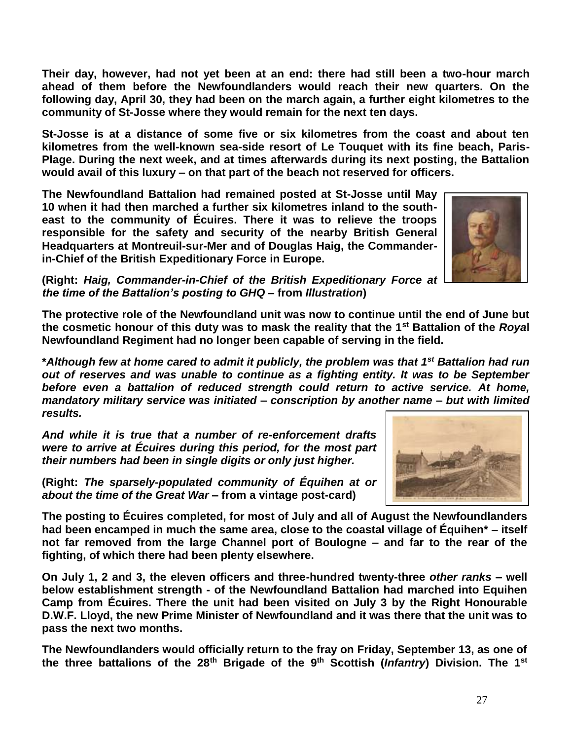27

**Their day, however, had not yet been at an end: there had still been a two-hour march ahead of them before the Newfoundlanders would reach their new quarters. On the following day, April 30, they had been on the march again, a further eight kilometres to the community of St-Josse where they would remain for the next ten days.** 

**St-Josse is at a distance of some five or six kilometres from the coast and about ten kilometres from the well-known sea-side resort of Le Touquet with its fine beach, Paris-Plage. During the next week, and at times afterwards during its next posting, the Battalion would avail of this luxury – on that part of the beach not reserved for officers.**

**The Newfoundland Battalion had remained posted at St-Josse until May 10 when it had then marched a further six kilometres inland to the southeast to the community of Écuires. There it was to relieve the troops responsible for the safety and security of the nearby British General Headquarters at Montreuil-sur-Mer and of Douglas Haig, the Commanderin-Chief of the British Expeditionary Force in Europe.**

**(Right:** *Haig, Commander-in-Chief of the British Expeditionary Force at the time of the Battalion's posting to GHQ* **– from** *Illustration***)**

**The protective role of the Newfoundland unit was now to continue until the end of June but the cosmetic honour of this duty was to mask the reality that the 1st Battalion of the** *Roya***l Newfoundland Regiment had no longer been capable of serving in the field.**

**\****Although few at home cared to admit it publicly, the problem was that 1st Battalion had run out of reserves and was unable to continue as a fighting entity. It was to be September before even a battalion of reduced strength could return to active service. At home, mandatory military service was initiated – conscription by another name – but with limited results.* 

*And while it is true that a number of re-enforcement drafts were to arrive at Écuires during this period, for the most part their numbers had been in single digits or only just higher.*

**(Right:** *The sparsely-populated community of Équihen at or about the time of the Great War* **– from a vintage post-card)**

**The posting to Écuires completed, for most of July and all of August the Newfoundlanders had been encamped in much the same area, close to the coastal village of Équihen\* – itself not far removed from the large Channel port of Boulogne – and far to the rear of the fighting, of which there had been plenty elsewhere.** 

**On July 1, 2 and 3, the eleven officers and three-hundred twenty-three** *other ranks* **– well below establishment strength - of the Newfoundland Battalion had marched into Equihen Camp from Écuires. There the unit had been visited on July 3 by the Right Honourable D.W.F. Lloyd, the new Prime Minister of Newfoundland and it was there that the unit was to pass the next two months.**

**The Newfoundlanders would officially return to the fray on Friday, September 13, as one of the three battalions of the 28th Brigade of the 9th Scottish (***Infantry***) Division. The 1st**



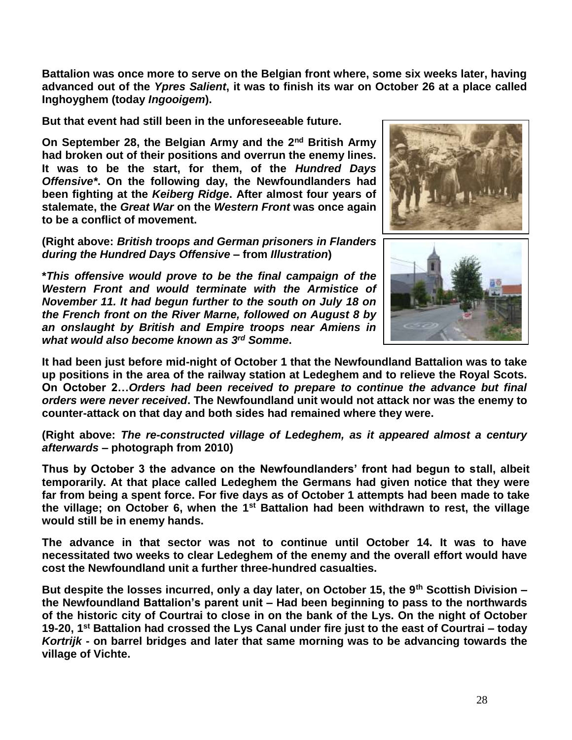**Battalion was once more to serve on the Belgian front where, some six weeks later, having advanced out of the** *Ypres Salient***, it was to finish its war on October 26 at a place called Inghoyghem (today** *Ingooigem***).** 

**But that event had still been in the unforeseeable future.**

**On September 28, the Belgian Army and the 2nd British Army had broken out of their positions and overrun the enemy lines. It was to be the start, for them, of the** *Hundred Days Offensive\****. On the following day, the Newfoundlanders had been fighting at the** *Keiberg Ridge***. After almost four years of stalemate, the** *Great War* **on the** *Western Front* **was once again to be a conflict of movement.**

**(Right above:** *British troops and German prisoners in Flanders during the Hundred Days Offensive* **– from** *Illustration***)**

**\****This offensive would prove to be the final campaign of the Western Front and would terminate with the Armistice of November 11. It had begun further to the south on July 18 on the French front on the River Marne, followed on August 8 by an onslaught by British and Empire troops near Amiens in what would also become known as 3 rd Somme***.**





**It had been just before mid-night of October 1 that the Newfoundland Battalion was to take up positions in the area of the railway station at Ledeghem and to relieve the Royal Scots. On October 2…***Orders had been received to prepare to continue the advance but final orders were never received***. The Newfoundland unit would not attack nor was the enemy to counter-attack on that day and both sides had remained where they were.**

**(Right above:** *The re-constructed village of Ledeghem, as it appeared almost a century afterwards –* **photograph from 2010)**

**Thus by October 3 the advance on the Newfoundlanders' front had begun to stall, albeit temporarily. At that place called Ledeghem the Germans had given notice that they were far from being a spent force. For five days as of October 1 attempts had been made to take the village; on October 6, when the 1st Battalion had been withdrawn to rest, the village would still be in enemy hands.** 

**The advance in that sector was not to continue until October 14. It was to have necessitated two weeks to clear Ledeghem of the enemy and the overall effort would have cost the Newfoundland unit a further three-hundred casualties.**

**But despite the losses incurred, only a day later, on October 15, the 9th Scottish Division – the Newfoundland Battalion's parent unit – Had been beginning to pass to the northwards of the historic city of Courtrai to close in on the bank of the Lys. On the night of October 19-20, 1st Battalion had crossed the Lys Canal under fire just to the east of Courtrai – today**  *Kortrijk* **- on barrel bridges and later that same morning was to be advancing towards the village of Vichte.**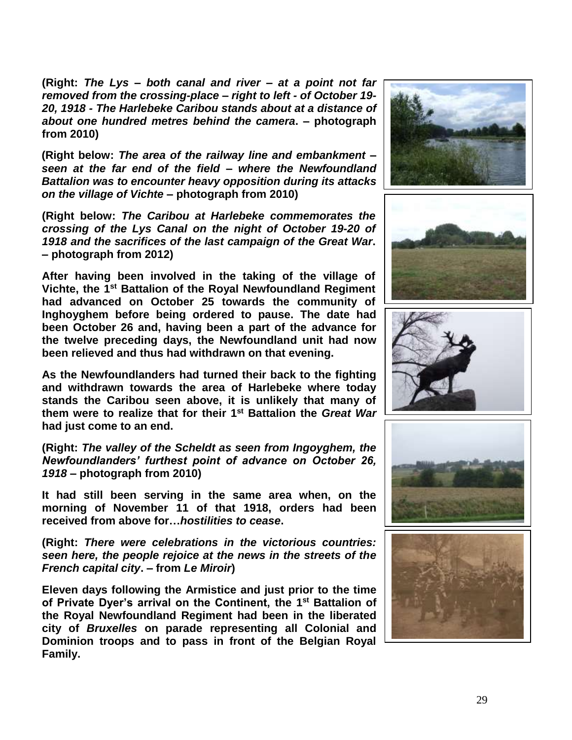**(Right:** *The Lys – both canal and river – at a point not far removed from the crossing-place – right to left - of October 19- 20, 1918 - The Harlebeke Caribou stands about at a distance of about one hundred metres behind the camera***. – photograph from 2010)**

**(Right below:** *The area of the railway line and embankment – seen at the far end of the field – where the Newfoundland Battalion was to encounter heavy opposition during its attacks on the village of Vichte* **– photograph from 2010)**

**(Right below:** *The Caribou at Harlebeke commemorates the crossing of the Lys Canal on the night of October 19-20 of 1918 and the sacrifices of the last campaign of the Great War***. – photograph from 2012)**

**After having been involved in the taking of the village of Vichte, the 1st Battalion of the Royal Newfoundland Regiment had advanced on October 25 towards the community of Inghoyghem before being ordered to pause. The date had been October 26 and, having been a part of the advance for the twelve preceding days, the Newfoundland unit had now been relieved and thus had withdrawn on that evening.**

**As the Newfoundlanders had turned their back to the fighting and withdrawn towards the area of Harlebeke where today stands the Caribou seen above, it is unlikely that many of them were to realize that for their 1 st Battalion the** *Great War* **had just come to an end.**

**(Right:** *The valley of the Scheldt as seen from Ingoyghem, the Newfoundlanders' furthest point of advance on October 26, 1918* **– photograph from 2010)**

**It had still been serving in the same area when, on the morning of November 11 of that 1918, orders had been received from above for…***hostilities to cease***.**

**(Right:** *There were celebrations in the victorious countries: seen here, the people rejoice at the news in the streets of the French capital city***. – from** *Le Miroir***)**

**Eleven days following the Armistice and just prior to the time of Private Dyer's arrival on the Continent, the 1 st Battalion of the Royal Newfoundland Regiment had been in the liberated city of** *Bruxelles* **on parade representing all Colonial and Dominion troops and to pass in front of the Belgian Royal Family.**









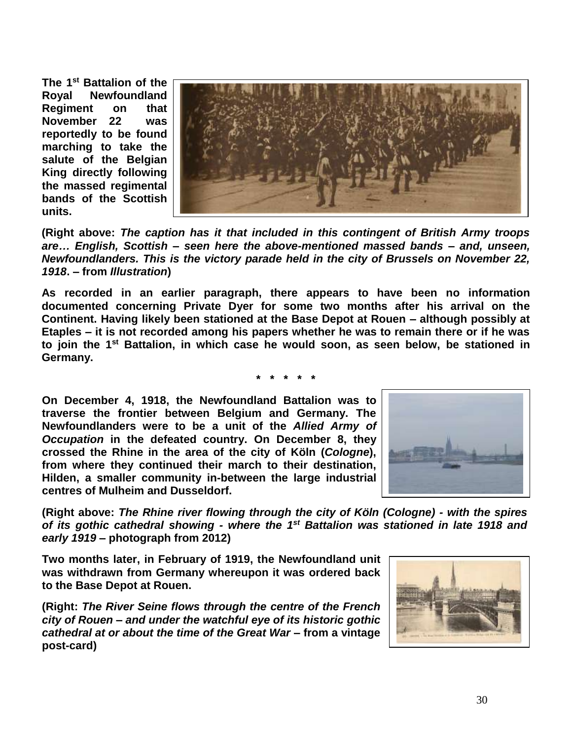**The 1st Battalion of the Royal Newfoundland Regiment on that November 22 was reportedly to be found marching to take the salute of the Belgian King directly following the massed regimental bands of the Scottish units.**



**(Right above:** *The caption has it that included in this contingent of British Army troops are… English, Scottish – seen here the above-mentioned massed bands – and, unseen, Newfoundlanders. This is the victory parade held in the city of Brussels on November 22, 1918***. – from** *Illustration***)**

**As recorded in an earlier paragraph, there appears to have been no information documented concerning Private Dyer for some two months after his arrival on the Continent. Having likely been stationed at the Base Depot at Rouen – although possibly at Etaples – it is not recorded among his papers whether he was to remain there or if he was to join the 1st Battalion, in which case he would soon, as seen below, be stationed in Germany.**

**\* \* \* \* \***

**On December 4, 1918, the Newfoundland Battalion was to traverse the frontier between Belgium and Germany. The Newfoundlanders were to be a unit of the** *Allied Army of Occupation* **in the defeated country. On December 8, they crossed the Rhine in the area of the city of Köln (***Cologne***), from where they continued their march to their destination, Hilden, a smaller community in-between the large industrial centres of Mulheim and Dusseldorf.**



**(Right above:** *The Rhine river flowing through the city of Köln (Cologne) - with the spires of its gothic cathedral showing - where the 1 st Battalion was stationed in late 1918 and early 1919* **– photograph from 2012)**

**Two months later, in February of 1919, the Newfoundland unit was withdrawn from Germany whereupon it was ordered back to the Base Depot at Rouen.**

**(Right:** *The River Seine flows through the centre of the French city of Rouen – and under the watchful eye of its historic gothic cathedral at or about the time of the Great War* **– from a vintage post-card)**

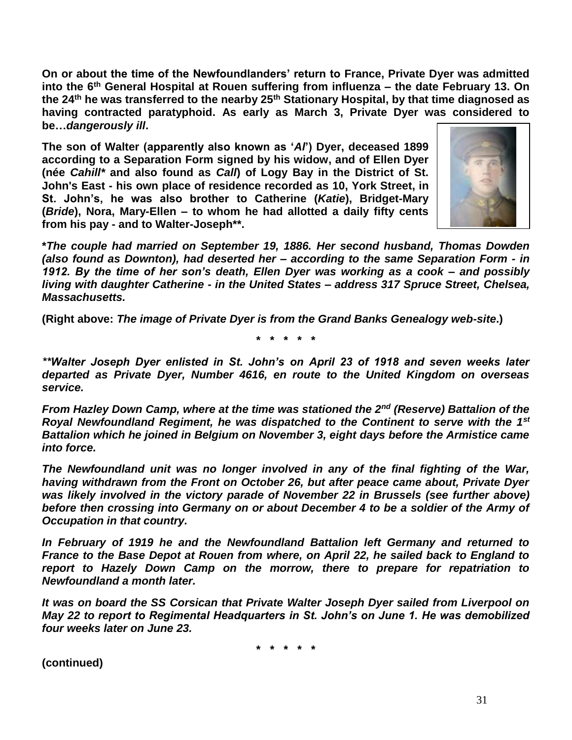**On or about the time of the Newfoundlanders' return to France, Private Dyer was admitted into the 6th General Hospital at Rouen suffering from influenza – the date February 13. On the 24th he was transferred to the nearby 25th Stationary Hospital, by that time diagnosed as having contracted paratyphoid. As early as March 3, Private Dyer was considered to be…***dangerously ill***.**

**The son of Walter (apparently also known as '***Al***') Dyer, deceased 1899 according to a Separation Form signed by his widow, and of Ellen Dyer (née** *Cahill\** **and also found as** *Call***) of Logy Bay in the District of St. John's East - his own place of residence recorded as 10, York Street, in St. John's, he was also brother to Catherine (***Katie***), Bridget-Mary (***Bride***), Nora, Mary-Ellen – to whom he had allotted a daily fifty cents from his pay - and to Walter-Joseph\*\*.** 



**\****The couple had married on September 19, 1886. Her second husband, Thomas Dowden (also found as Downton), had deserted her – according to the same Separation Form - in 1912. By the time of her son's death, Ellen Dyer was working as a cook – and possibly living with daughter Catherine - in the United States – address 317 Spruce Street, Chelsea, Massachusetts.*

**(Right above:** *The image of Private Dyer is from the Grand Banks Genealogy web-site***.)**

**\* \* \* \* \***

*\*\*Walter Joseph Dyer enlisted in St. John's on April 23 of 1918 and seven weeks later departed as Private Dyer, Number 4616, en route to the United Kingdom on overseas service.*

*From Hazley Down Camp, where at the time was stationed the 2nd (Reserve) Battalion of the Royal Newfoundland Regiment, he was dispatched to the Continent to serve with the 1st Battalion which he joined in Belgium on November 3, eight days before the Armistice came into force.* 

*The Newfoundland unit was no longer involved in any of the final fighting of the War, having withdrawn from the Front on October 26, but after peace came about, Private Dyer was likely involved in the victory parade of November 22 in Brussels (see further above) before then crossing into Germany on or about December 4 to be a soldier of the Army of Occupation in that country.*

*In February of 1919 he and the Newfoundland Battalion left Germany and returned to France to the Base Depot at Rouen from where, on April 22, he sailed back to England to report to Hazely Down Camp on the morrow, there to prepare for repatriation to Newfoundland a month later.*

*It was on board the SS Corsican that Private Walter Joseph Dyer sailed from Liverpool on May 22 to report to Regimental Headquarters in St. John's on June 1. He was demobilized four weeks later on June 23.*

**\* \* \* \* \***